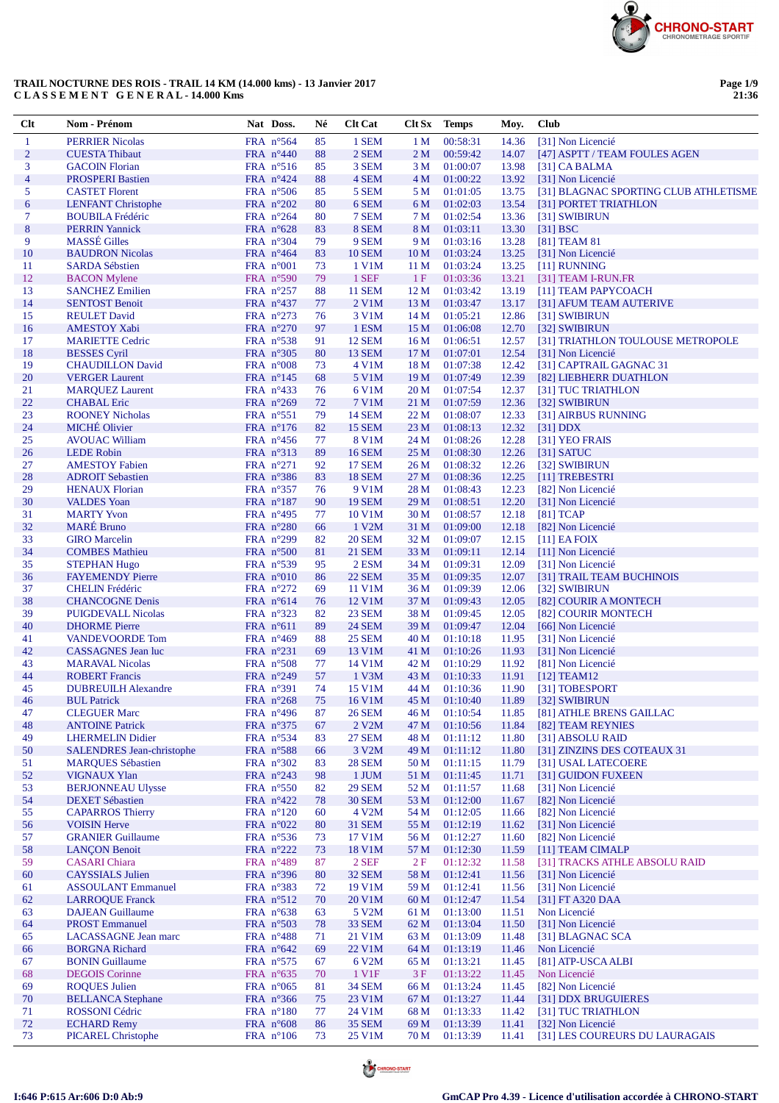

| Clt                      | Nom - Prénom                                                 | Nat Doss.                                | Né       | <b>Clt Cat</b>           |                                    | Clt Sx Temps         | Moy.           | <b>Club</b>                                                |
|--------------------------|--------------------------------------------------------------|------------------------------------------|----------|--------------------------|------------------------------------|----------------------|----------------|------------------------------------------------------------|
| 1                        | <b>PERRIER Nicolas</b>                                       | FRA n°564                                | 85       | 1 SEM                    | 1 <sub>M</sub>                     | 00:58:31             | 14.36          | [31] Non Licencié                                          |
| $\overline{2}$           | <b>CUESTA Thibaut</b>                                        | FRA n°440                                | 88       | 2 SEM                    | 2 <sub>M</sub>                     | 00:59:42             | 14.07          | [47] ASPTT / TEAM FOULES AGEN                              |
| 3                        | <b>GACOIN Florian</b>                                        | FRA $n^{\circ}516$                       | 85       | 3 SEM                    | 3 M                                | 01:00:07             | 13.98          | $[31]$ CA BALMA                                            |
| $\overline{\mathcal{L}}$ | <b>PROSPERI Bastien</b>                                      | FRA $n^{\circ}424$                       | 88       | 4 SEM                    | 4 M                                | 01:00:22             | 13.92          | [31] Non Licencié<br>[31] BLAGNAC SPORTING CLUB ATHLETISME |
| 5<br>$\boldsymbol{6}$    | <b>CASTET Florent</b><br><b>LENFANT Christophe</b>           | FRA $n^{\circ}506$<br>FRA $n^{\circ}202$ | 85<br>80 | 5 SEM<br>6 SEM           | 5 M<br>6 M                         | 01:01:05<br>01:02:03 | 13.75<br>13.54 | [31] PORTET TRIATHLON                                      |
| 7                        | <b>BOUBILA Frédéric</b>                                      | FRA $n^{\circ}264$                       | 80       | 7 SEM                    | 7 M                                | 01:02:54             | 13.36          | [31] SWIBIRUN                                              |
| 8                        | <b>PERRIN Yannick</b>                                        | FRA $n^{\circ}628$                       | 83       | 8 SEM                    | 8 M                                | 01:03:11             | 13.30          | [31] BSC                                                   |
| 9                        | <b>MASSÉ</b> Gilles                                          | FRA $n^{\circ}304$                       | 79       | 9 SEM                    | 9 M                                | 01:03:16             | 13.28          | [81] TEAM 81                                               |
| 10                       | <b>BAUDRON Nicolas</b>                                       | FRA $n^{\circ}464$                       | 83       | <b>10 SEM</b>            | 10 <sub>M</sub>                    | 01:03:24             | 13.25          | [31] Non Licencié                                          |
| 11                       | <b>SARDA Sébstien</b>                                        | FRA $n^{\circ}001$                       | 73       | 1 V1M                    | 11 <sub>M</sub>                    | 01:03:24             | 13.25          | [11] RUNNING                                               |
| 12                       | <b>BACON</b> Mylene                                          | FRA n°590                                | 79       | 1 SEF                    | 1F                                 | 01:03:36             | 13.21          | [31] TEAM I-RUN.FR                                         |
| 13<br>14                 | <b>SANCHEZ Emilien</b><br><b>SENTOST Benoit</b>              | FRA $n^{\circ}257$                       | 88<br>77 | <b>11 SEM</b><br>2 V1M   | 12 <sub>M</sub><br>13 <sub>M</sub> | 01:03:42<br>01:03:47 | 13.19          | [11] TEAM PAPYCOACH                                        |
| 15                       | <b>REULET David</b>                                          | FRA $n^{\circ}437$<br>FRA $n^{\circ}273$ | 76       | 3 V1M                    | 14 M                               | 01:05:21             | 13.17<br>12.86 | [31] AFUM TEAM AUTERIVE<br>[31] SWIBIRUN                   |
| 16                       | <b>AMESTOY Xabi</b>                                          | FRA $n^{\circ}270$                       | 97       | 1 ESM                    | 15 <sub>M</sub>                    | 01:06:08             | 12.70          | [32] SWIBIRUN                                              |
| 17                       | <b>MARIETTE Cedric</b>                                       | FRA $n^{\circ}$ 538                      | 91       | <b>12 SEM</b>            | 16 <sub>M</sub>                    | 01:06:51             | 12.57          | [31] TRIATHLON TOULOUSE METROPOLE                          |
| 18                       | <b>BESSES</b> Cyril                                          | FRA $n^{\circ}305$                       | 80       | 13 SEM                   | 17 <sub>M</sub>                    | 01:07:01             | 12.54          | [31] Non Licencié                                          |
| 19                       | <b>CHAUDILLON David</b>                                      | FRA $n^{\circ}008$                       | 73       | 4 V1M                    | 18 <sub>M</sub>                    | 01:07:38             | 12.42          | [31] CAPTRAIL GAGNAC 31                                    |
| 20                       | <b>VERGER Laurent</b>                                        | FRA $n^{\circ}145$                       | 68       | 5 V1M                    | 19 <sub>M</sub>                    | 01:07:49             | 12.39          | [82] LIEBHERR DUATHLON                                     |
| 21                       | <b>MAROUEZ Laurent</b>                                       | FRA $n^{\circ}433$                       | 76       | 6 V1M                    | 20 M                               | 01:07:54             | 12.37          | [31] TUC TRIATHLON                                         |
| 22<br>23                 | <b>CHABAL</b> Eric<br><b>ROONEY Nicholas</b>                 | FRA $n^{\circ}269$                       | 72       | 7 V1M<br><b>14 SEM</b>   | 21 M                               | 01:07:59             | 12.36          | [32] SWIBIRUN                                              |
| 24                       | <b>MICHÉ Olivier</b>                                         | FRA $n^{\circ}551$<br>FRA $n^{\circ}176$ | 79<br>82 | 15 SEM                   | 22 M<br>23 <sub>M</sub>            | 01:08:07<br>01:08:13 | 12.33<br>12.32 | [31] AIRBUS RUNNING<br>$[31]$ DDX                          |
| 25                       | <b>AVOUAC William</b>                                        | FRA $n^{\circ}456$                       | 77       | 8 V1M                    | 24 M                               | 01:08:26             | 12.28          | [31] YEO FRAIS                                             |
| 26                       | <b>LEDE Robin</b>                                            | FRA n°313                                | 89       | <b>16 SEM</b>            | 25 M                               | 01:08:30             | 12.26          | [31] SATUC                                                 |
| 27                       | <b>AMESTOY Fabien</b>                                        | FRA n°271                                | 92       | <b>17 SEM</b>            | 26 M                               | 01:08:32             | 12.26          | [32] SWIBIRUN                                              |
| 28                       | <b>ADROIT Sebastien</b>                                      | FRA n°386                                | 83       | <b>18 SEM</b>            | 27 M                               | 01:08:36             | 12.25          | [11] TREBESTRI                                             |
| 29                       | <b>HENAUX Florian</b>                                        | FRA $n^{\circ}357$                       | 76       | 9 V1M                    | 28 M                               | 01:08:43             | 12.23          | [82] Non Licencié                                          |
| 30                       | <b>VALDES</b> Yoan                                           | FRA $n^{\circ}187$                       | 90       | <b>19 SEM</b>            | 29 M                               | 01:08:51             | 12.20          | [31] Non Licencié                                          |
| 31                       | <b>MARTY Yvon</b>                                            | FRA $n^{\circ}495$                       | 77       | 10 V1M                   | 30 M                               | 01:08:57             | 12.18          | $[81]$ TCAP                                                |
| 32<br>33                 | <b>MARÉ</b> Bruno<br><b>GIRO</b> Marcelin                    | FRA $n^{\circ}280$<br>FRA n°299          | 66       | 1 V2M<br><b>20 SEM</b>   | 31 M<br>32 M                       | 01:09:00<br>01:09:07 | 12.18<br>12.15 | [82] Non Licencié<br>$[11]$ EA FOIX                        |
| 34                       | <b>COMBES Mathieu</b>                                        | FRA $n^{\circ}500$                       | 82<br>81 | <b>21 SEM</b>            | 33 M                               | 01:09:11             | 12.14          | [11] Non Licencié                                          |
| 35                       | <b>STEPHAN Hugo</b>                                          | FRA $n^{\circ}539$                       | 95       | 2 ESM                    | 34 M                               | 01:09:31             | 12.09          | [31] Non Licencié                                          |
| 36                       | <b>FAYEMENDY Pierre</b>                                      | FRA $n^{\circ}010$                       | 86       | <b>22 SEM</b>            | 35 M                               | 01:09:35             | 12.07          | [31] TRAIL TEAM BUCHINOIS                                  |
| 37                       | <b>CHELIN Frédéric</b>                                       | FRA $n^{\circ}272$                       | 69       | 11 V1M                   | 36 M                               | 01:09:39             | 12.06          | [32] SWIBIRUN                                              |
| 38                       | <b>CHANCOGNE Denis</b>                                       | FRA $n^{\circ}614$                       | 76       | 12 V1M                   | 37 M                               | 01:09:43             | 12.05          | [82] COURIR A MONTECH                                      |
| 39                       | <b>PUIGDEVALL Nicolas</b>                                    | FRA $n^{\circ}323$                       | 82       | 23 SEM                   | 38 M                               | 01:09:45             | 12.05          | [82] COURIR MONTECH                                        |
| 40                       | <b>DHORME</b> Pierre                                         | FRA $n^{\circ}611$                       | 89       | <b>24 SEM</b>            | 39 M                               | 01:09:47             | 12.04          | [66] Non Licencié                                          |
| 41<br>42                 | <b>VANDEVOORDE Tom</b><br><b>CASSAGNES</b> Jean luc          | FRA $n^{\circ}469$<br>FRA $n^{\circ}231$ | 88<br>69 | <b>25 SEM</b><br>13 V1M  | 40 M<br>41 M                       | 01:10:18<br>01:10:26 | 11.95<br>11.93 | [31] Non Licencié<br>[31] Non Licencié                     |
| 43                       | <b>MARAVAL Nicolas</b>                                       | FRA n°508                                | 77       | 14 V1M                   | 42 M                               | 01:10:29             | 11.92          | [81] Non Licencié                                          |
| 44                       | <b>ROBERT Francis</b>                                        | FRA $n^{\circ}249$                       | 57       | 1 V3M                    | 43 M                               | 01:10:33             | 11.91          | $[12]$ TEAM12                                              |
| 45                       | <b>DUBREUILH Alexandre</b>                                   | FRA n°391                                | 74       | 15 V1M                   | 44 M                               | 01:10:36             | 11.90          | [31] TOBESPORT                                             |
| 46                       | <b>BUL Patrick</b>                                           | FRA $n^{\circ}268$                       | 75       | 16 V1M                   | 45 M                               | 01:10:40             | 11.89          | [32] SWIBIRUN                                              |
| 47                       | <b>CLEGUER Marc</b>                                          | FRA n°496                                | 87       | <b>26 SEM</b>            | 46 M                               | 01:10:54             | 11.85          | [81] ATHLE BRENS GAILLAC                                   |
| 48                       | <b>ANTOINE Patrick</b>                                       | FRA n°375                                | 67       | 2 V2M                    | 47 M                               | 01:10:56             | 11.84          | [82] TEAM REYNIES                                          |
| 49                       | <b>LHERMELIN Didier</b>                                      | FRA $n^{\circ}$ 534                      | 83       | <b>27 SEM</b>            | 48 M                               | 01:11:12             | 11.80          | [31] ABSOLU RAID                                           |
| 50<br>51                 | <b>SALENDRES</b> Jean-christophe<br><b>MARQUES Sébastien</b> | FRA n°588<br>FRA $n^{\circ}302$          | 66       | 3 V2M<br><b>28 SEM</b>   | 49 M                               | 01:11:12<br>01:11:15 | 11.80<br>11.79 | [31] ZINZINS DES COTEAUX 31<br>[31] USAL LATECOERE         |
| 52                       | <b>VIGNAUX Ylan</b>                                          | FRA $n^{\circ}243$                       | 83<br>98 | 1 JUM                    | 50 M<br>51 M                       | 01:11:45             | 11.71          | [31] GUIDON FUXEEN                                         |
| 53                       | <b>BERJONNEAU Ulysse</b>                                     | FRA $n^{\circ}550$                       | 82       | <b>29 SEM</b>            | 52 M                               | 01:11:57             | 11.68          | [31] Non Licencié                                          |
| 54                       | <b>DEXET Sébastien</b>                                       | FRA $n^{\circ}422$                       | 78       | <b>30 SEM</b>            | 53 M                               | 01:12:00             | 11.67          | [82] Non Licencié                                          |
| 55                       | <b>CAPARROS Thierry</b>                                      | FRA $n^{\circ}120$                       | 60       | 4 V2M                    | 54 M                               | 01:12:05             | 11.66          | [82] Non Licencié                                          |
| 56                       | <b>VOISIN Herve</b>                                          | FRA $n^{\circ}022$                       | 80       | <b>31 SEM</b>            | 55 M                               | 01:12:19             | 11.62          | [31] Non Licencié                                          |
| 57                       | <b>GRANIER Guillaume</b>                                     | FRA nº536                                | 73       | 17 V1M                   | 56 M                               | 01:12:27             | 11.60          | [82] Non Licencié                                          |
| 58                       | <b>LANÇON Benoit</b>                                         | FRA $n^{\circ}222$                       | 73       | 18 V1M                   | 57 M                               | 01:12:30             | 11.59          | [11] TEAM CIMALP                                           |
| 59<br>60                 | <b>CASARI</b> Chiara<br><b>CAYSSIALS Julien</b>              | FRA $n^{\circ}489$<br>FRA n°396          | 87       | $2$ SEF<br><b>32 SEM</b> | 2F<br>58 M                         | 01:12:32<br>01:12:41 | 11.58<br>11.56 | [31] TRACKS ATHLE ABSOLU RAID<br>[31] Non Licencié         |
| 61                       | <b>ASSOULANT Emmanuel</b>                                    | FRA $n^{\circ}383$                       | 80<br>72 | 19 V1M                   | 59 M                               | 01:12:41             | 11.56          | [31] Non Licencié                                          |
| 62                       | <b>LARROQUE Franck</b>                                       | FRA $n^{\circ}512$                       | 70       | 20 V1M                   | 60 <sub>M</sub>                    | 01:12:47             | 11.54          | [31] FT A320 DAA                                           |
| 63                       | <b>DAJEAN Guillaume</b>                                      | FRA $n^{\circ}638$                       | 63       | 5 V2M                    | 61 M                               | 01:13:00             | 11.51          | Non Licencié                                               |
| 64                       | <b>PROST Emmanuel</b>                                        | FRA n°503                                | 78       | 33 SEM                   | 62 M                               | 01:13:04             | 11.50          | [31] Non Licencié                                          |
| 65                       | <b>LACASSAGNE</b> Jean marc                                  | FRA $n^{\circ}488$                       | 71       | 21 V1M                   | 63 M                               | 01:13:09             | 11.48          | [31] BLAGNAC SCA                                           |
| 66                       | <b>BORGNA Richard</b>                                        | FRA $n^{\circ}642$                       | 69       | 22 V1M                   | 64 M                               | 01:13:19             | 11.46          | Non Licencié                                               |
| 67                       | <b>BONIN</b> Guillaume                                       | FRA $n^{\circ}575$                       | 67       | 6 V <sub>2</sub> M       | 65 M                               | 01:13:21             | 11.45          | [81] ATP-USCA ALBI                                         |
| 68                       | <b>DEGOIS</b> Corinne                                        | FRA $n^{\circ}635$                       | 70       | 1 V1F                    | 3F                                 | 01:13:22             | 11.45          | Non Licencié                                               |
| 69<br>70                 | <b>ROQUES Julien</b><br><b>BELLANCA</b> Stephane             | FRA $n^{\circ}065$<br>FRA n°366          | 81<br>75 | <b>34 SEM</b><br>23 V1M  | 66 M<br>67 M                       | 01:13:24<br>01:13:27 | 11.45<br>11.44 | [82] Non Licencié<br>[31] DDX BRUGUIERES                   |
| 71                       | ROSSONI Cédric                                               | FRA $n^{\circ}180$                       | 77       | 24 V1M                   | 68 M                               | 01:13:33             | 11.42          | [31] TUC TRIATHLON                                         |
| $72\,$                   | <b>ECHARD Remy</b>                                           | FRA $n^{\circ}608$                       | 86       | <b>35 SEM</b>            | 69 M                               | 01:13:39             | 11.41          | [32] Non Licencié                                          |
| 73                       | <b>PICAREL Christophe</b>                                    | FRA $n^{\circ}106$                       | 73       | 25 V1M                   | 70 M                               | 01:13:39             | 11.41          | [31] LES COUREURS DU LAURAGAIS                             |



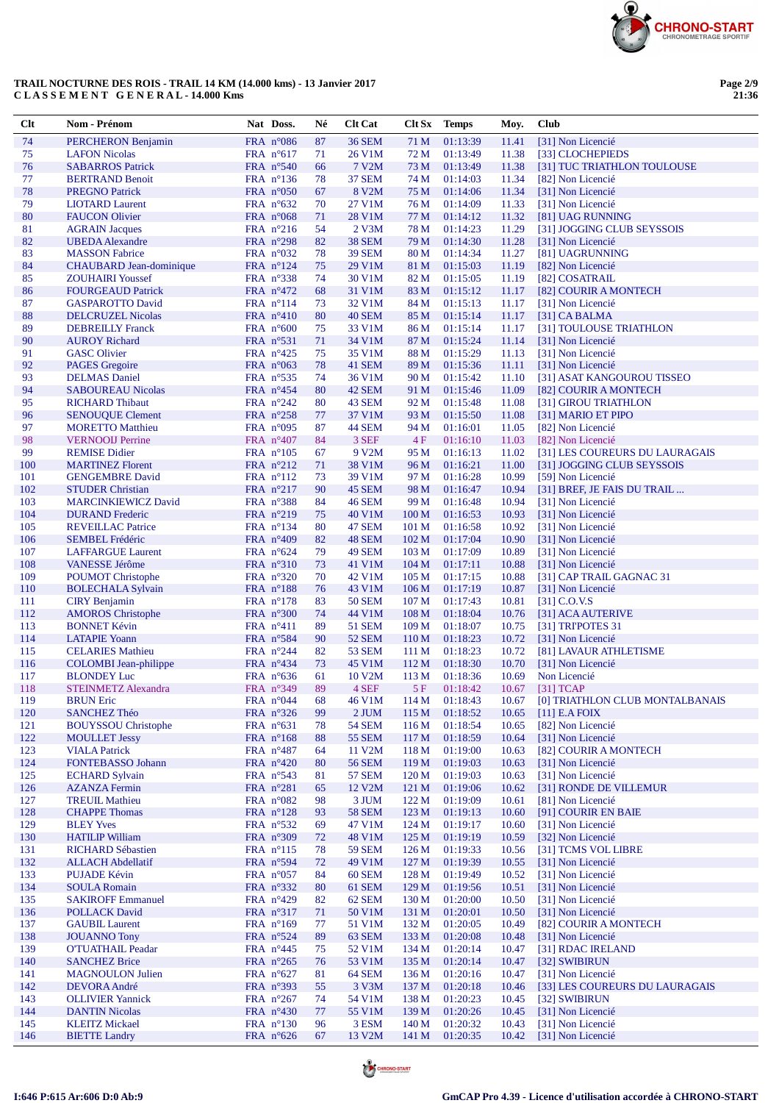

| Clt        | Nom - Prénom                                            | Nat Doss.                                 | Né       | <b>Clt Cat</b>         |                                      | Clt Sx Temps         | Moy.           | Club                                            |
|------------|---------------------------------------------------------|-------------------------------------------|----------|------------------------|--------------------------------------|----------------------|----------------|-------------------------------------------------|
| 74         | PERCHERON Benjamin                                      | FRA $n^{\circ}086$                        | 87       | <b>36 SEM</b>          | 71 M                                 | 01:13:39             | 11.41          | [31] Non Licencié                               |
| 75         | <b>LAFON Nicolas</b>                                    | FRA $n^{\circ}617$                        | 71       | 26 V1M                 | 72 M                                 | 01:13:49             | 11.38          | [33] CLOCHEPIEDS                                |
| 76         | <b>SABARROS Patrick</b>                                 | FRA $n^{\circ}540$                        | 66       | 7 V2M                  | 73 M                                 | 01:13:49             | 11.38          | [31] TUC TRIATHLON TOULOUSE                     |
| 77<br>78   | <b>BERTRAND Benoit</b><br><b>PREGNO Patrick</b>         | FRA $n^{\circ}136$<br>FRA $n^{\circ}050$  | 78<br>67 | <b>37 SEM</b><br>8 V2M | 74 M<br>75 M                         | 01:14:03<br>01:14:06 | 11.34<br>11.34 | [82] Non Licencié<br>[31] Non Licencié          |
| 79         | <b>LIOTARD Laurent</b>                                  | FRA $n^{\circ}632$                        | 70       | 27 V1M                 | 76 M                                 | 01:14:09             | 11.33          | [31] Non Licencié                               |
| 80         | <b>FAUCON Olivier</b>                                   | FRA $n^{\circ}068$                        | 71       | 28 V1M                 | 77 M                                 | 01:14:12             | 11.32          | [81] UAG RUNNING                                |
| 81         | <b>AGRAIN Jacques</b>                                   | FRA $n^{\circ}216$                        | 54       | $2$ V $3M$             | 78 M                                 | 01:14:23             | 11.29          | [31] JOGGING CLUB SEYSSOIS                      |
| 82         | <b>UBEDA</b> Alexandre                                  | FRA $n^{\circ}298$                        | 82       | <b>38 SEM</b>          | 79 M                                 | 01:14:30             | 11.28          | [31] Non Licencié                               |
| 83         | <b>MASSON Fabrice</b>                                   | FRA $n^{\circ}032$                        | 78       | <b>39 SEM</b>          | 80 M                                 | 01:14:34             | 11.27          | [81] UAGRUNNING                                 |
| 84         | <b>CHAUBARD</b> Jean-dominique                          | FRA $n^{\circ}124$                        | 75       | 29 V1M                 | 81 M                                 | 01:15:03             | 11.19          | [82] Non Licencié                               |
| 85<br>86   | <b>ZOUHAIRI</b> Youssef<br><b>FOURGEAUD Patrick</b>     | FRA $n^{\circ}338$<br>FRA $n^{\circ}472$  | 74<br>68 | 30 V1M<br>31 V1M       | 82 M<br>83 M                         | 01:15:05<br>01:15:12 | 11.19<br>11.17 | [82] COSATRAIL<br>[82] COURIR A MONTECH         |
| 87         | <b>GASPAROTTO David</b>                                 | FRA $n^{\circ}114$                        | 73       | 32 V1M                 | 84 M                                 | 01:15:13             | 11.17          | [31] Non Licencié                               |
| 88         | <b>DELCRUZEL Nicolas</b>                                | FRA $n^{\circ}410$                        | 80       | <b>40 SEM</b>          | 85 M                                 | 01:15:14             | 11.17          | $[31]$ CA BALMA                                 |
| 89         | <b>DEBREILLY Franck</b>                                 | FRA $n^{\circ}600$                        | 75       | 33 V1M                 | 86 M                                 | 01:15:14             | 11.17          | [31] TOULOUSE TRIATHLON                         |
| 90         | <b>AUROY Richard</b>                                    | FRA $n^{\circ}531$                        | 71       | 34 V1M                 | 87 M                                 | 01:15:24             | 11.14          | [31] Non Licencié                               |
| 91         | <b>GASC</b> Olivier                                     | FRA $n^{\circ}425$                        | 75       | 35 V1M                 | 88 M                                 | 01:15:29             | 11.13          | [31] Non Licencié                               |
| 92<br>93   | <b>PAGES</b> Gregoire<br><b>DELMAS</b> Daniel           | FRA $n^{\circ}063$<br>FRA $n^{\circ}$ 535 | 78<br>74 | 41 SEM<br>36 V1M       | 89 M<br>90 M                         | 01:15:36<br>01:15:42 | 11.11<br>11.10 | [31] Non Licencié<br>[31] ASAT KANGOUROU TISSEO |
| 94         | <b>SABOUREAU Nicolas</b>                                | FRA $n^{\circ}454$                        | 80       | 42 SEM                 | 91 M                                 | 01:15:46             | 11.09          | [82] COURIR A MONTECH                           |
| 95         | <b>RICHARD Thibaut</b>                                  | FRA $n^{\circ}242$                        | 80       | 43 SEM                 | 92 M                                 | 01:15:48             | 11.08          | [31] GIROU TRIATHLON                            |
| 96         | <b>SENOUQUE Clement</b>                                 | FRA $n^{\circ}258$                        | 77       | 37 V1M                 | 93 M                                 | 01:15:50             | 11.08          | [31] MARIO ET PIPO                              |
| 97         | <b>MORETTO Matthieu</b>                                 | FRA $n^{\circ}095$                        | 87       | <b>44 SEM</b>          | 94 M                                 | 01:16:01             | 11.05          | [82] Non Licencié                               |
| 98         | <b>VERNOOIJ Perrine</b>                                 | FRA $n^{\circ}407$                        | 84       | 3 SEF                  | 4F                                   | 01:16:10             | 11.03          | [82] Non Licencié                               |
| 99         | <b>REMISE Didier</b>                                    | FRA $n^{\circ}105$                        | 67       | 9 V2M                  | 95 M                                 | 01:16:13             | 11.02          | [31] LES COUREURS DU LAURAGAIS                  |
| 100<br>101 | <b>MARTINEZ Florent</b><br><b>GENGEMBRE David</b>       | FRA $n^{\circ}212$<br>FRA $n^{\circ}112$  | 71<br>73 | 38 V1M<br>39 V1M       | 96 M<br>97 M                         | 01:16:21<br>01:16:28 | 11.00<br>10.99 | [31] JOGGING CLUB SEYSSOIS<br>[59] Non Licencié |
| 102        | <b>STUDER Christian</b>                                 | FRA n°217                                 | 90       | <b>45 SEM</b>          | 98 M                                 | 01:16:47             | 10.94          | [31] BREF, JE FAIS DU TRAIL                     |
| 103        | <b>MARCINKIEWICZ David</b>                              | FRA $n^{\circ}388$                        | 84       | <b>46 SEM</b>          | 99 M                                 | 01:16:48             | 10.94          | [31] Non Licencié                               |
| 104        | <b>DURAND</b> Frederic                                  | FRA $n^{\circ}219$                        | 75       | 40 V1M                 | 100 <sub>M</sub>                     | 01:16:53             | 10.93          | [31] Non Licencié                               |
| 105        | <b>REVEILLAC Patrice</b>                                | FRA $n^{\circ}134$                        | 80       | <b>47 SEM</b>          | 101 <sub>M</sub>                     | 01:16:58             | 10.92          | [31] Non Licencié                               |
| 106        | <b>SEMBEL Frédéric</b>                                  | FRA $n^{\circ}409$                        | 82       | 48 SEM                 | 102 M                                | 01:17:04             | 10.90          | [31] Non Licencié                               |
| 107        | <b>LAFFARGUE Laurent</b>                                | FRA $n^{\circ}624$                        | 79       | <b>49 SEM</b>          | 103 <sub>M</sub>                     | 01:17:09             | 10.89          | [31] Non Licencié                               |
| 108<br>109 | VANESSE Jérôme<br><b>POUMOT Christophe</b>              | FRA $n^{\circ}310$<br>FRA $n^{\circ}320$  | 73<br>70 | 41 V1M<br>42 V1M       | 104 <sub>M</sub><br>105 <sub>M</sub> | 01:17:11<br>01:17:15 | 10.88<br>10.88 | [31] Non Licencié<br>[31] CAP TRAIL GAGNAC 31   |
| 110        | <b>BOLECHALA Sylvain</b>                                | FRA $n^{\circ}188$                        | 76       | 43 V1M                 | 106 <sub>M</sub>                     | 01:17:19             | 10.87          | [31] Non Licencié                               |
| 111        | <b>CIRY</b> Benjamin                                    | FRA $n^{\circ}178$                        | 83       | <b>50 SEM</b>          | 107 <sub>M</sub>                     | 01:17:43             | 10.81          | $[31]$ C.O.V.S                                  |
| 112        | <b>AMOROS</b> Christophe                                | FRA $n^{\circ}300$                        | 74       | 44 V1M                 | 108 <sub>M</sub>                     | 01:18:04             | 10.76          | [31] ACA AUTERIVE                               |
| 113        | <b>BONNET Kévin</b>                                     | FRA n°411                                 | 89       | <b>51 SEM</b>          | 109 <sub>M</sub>                     | 01:18:07             | 10.75          | [31] TRIPOTES 31                                |
| 114        | <b>LATAPIE Yoann</b>                                    | FRA $n^{\circ}$ 584                       | 90       | 52 SEM                 | 110 <sub>M</sub>                     | 01:18:23             | 10.72          | [31] Non Licencié                               |
| 115<br>116 | <b>CELARIES</b> Mathieu<br><b>COLOMBI</b> Jean-philippe | FRA n°244<br>FRA n°434                    | 82<br>73 | 53 SEM<br>45 V1M       | 111 M<br>112M                        | 01:18:23<br>01:18:30 | 10.72<br>10.70 | [81] LAVAUR ATHLETISME<br>[31] Non Licencié     |
| 117        | <b>BLONDEY Luc</b>                                      | FRA $n^{\circ}636$                        | 61       | 10 V <sub>2</sub> M    | 113 M                                | 01:18:36             | 10.69          | Non Licencié                                    |
| 118        | <b>STEINMETZ Alexandra</b>                              | FRA n°349                                 | 89       | 4 SEF                  | 5F                                   | 01:18:42             | 10.67          | $[31]$ TCAP                                     |
| 119        | <b>BRUN Eric</b>                                        | FRA $n^{\circ}044$                        | 68       | 46 V1M                 | 114 M                                | 01:18:43             |                | 10.67 [0] TRIATHLON CLUB MONTALBANAIS           |
| 120        | <b>SANCHEZ Théo</b>                                     | FRA n°326                                 | 99       | 2 JUM                  | 115 M                                | 01:18:52             | 10.65          | $[11]$ E.A FOIX                                 |
| 121        | <b>BOUYSSOU Christophe</b>                              | FRA $n^{\circ}631$                        | 78       | <b>54 SEM</b>          | 116M                                 | 01:18:54             | 10.65          | [82] Non Licencié                               |
| 122<br>123 | <b>MOULLET Jessy</b><br><b>VIALA Patrick</b>            | FRA $n^{\circ}168$<br>FRA $n^{\circ}487$  | 88<br>64 | 55 SEM<br>11 V2M       | 117 M<br>118 <sub>M</sub>            | 01:18:59<br>01:19:00 | 10.64<br>10.63 | [31] Non Licencié<br>[82] COURIR A MONTECH      |
| 124        | FONTEBASSO Johann                                       | FRA $n^{\circ}420$                        | 80       | <b>56 SEM</b>          | 119 <sub>M</sub>                     | 01:19:03             | 10.63          | [31] Non Licencié                               |
| 125        | <b>ECHARD Sylvain</b>                                   | FRA nº543                                 | 81       | <b>57 SEM</b>          | 120 <sub>M</sub>                     | 01:19:03             | 10.63          | [31] Non Licencié                               |
| 126        | <b>AZANZA Fermin</b>                                    | FRA $n^{\circ}281$                        | 65       | 12 V <sub>2</sub> M    | 121 <sub>M</sub>                     | 01:19:06             | 10.62          | [31] RONDE DE VILLEMUR                          |
| 127        | <b>TREUIL Mathieu</b>                                   | FRA $n^{\circ}082$                        | 98       | 3 JUM                  | 122M                                 | 01:19:09             | 10.61          | [81] Non Licencié                               |
| 128        | <b>CHAPPE Thomas</b>                                    | FRA $n^{\circ}128$                        | 93       | <b>58 SEM</b>          | 123 <sub>M</sub>                     | 01:19:13             | 10.60          | [91] COURIR EN BAIE                             |
| 129<br>130 | <b>BLEY Yves</b><br><b>HATILIP William</b>              | FRA n°532<br>FRA n°309                    | 69<br>72 | 47 V1M<br>48 V1M       | 124M<br>125 M                        | 01:19:17<br>01:19:19 | 10.60<br>10.59 | [31] Non Licencié<br>[32] Non Licencié          |
| 131        | <b>RICHARD Sébastien</b>                                | FRA $n^{\circ}115$                        | 78       | 59 SEM                 | 126 <sub>M</sub>                     | 01:19:33             | 10.56          | [31] TCMS VOL LIBRE                             |
| 132        | <b>ALLACH Abdellatif</b>                                | FRA $n^{\circ}594$                        | 72       | 49 V1M                 | 127 <sub>M</sub>                     | 01:19:39             | 10.55          | [31] Non Licencié                               |
| 133        | PUJADE Kévin                                            | FRA $n^{\circ}057$                        | 84       | <b>60 SEM</b>          | 128 <sub>M</sub>                     | 01:19:49             | 10.52          | [31] Non Licencié                               |
| 134        | <b>SOULA Romain</b>                                     | FRA $n^{\circ}332$                        | 80       | 61 SEM                 | 129 M                                | 01:19:56             | 10.51          | [31] Non Licencié                               |
| 135        | <b>SAKIROFF Emmanuel</b>                                | FRA $n^{\circ}429$                        | 82       | 62 SEM                 | 130 <sub>M</sub>                     | 01:20:00             | 10.50          | [31] Non Licencié                               |
| 136        | <b>POLLACK David</b><br><b>GAUBIL Laurent</b>           | FRA n°317<br>FRA n°169                    | 71       | 50 V1M                 | 131 M<br>132 M                       | 01:20:01<br>01:20:05 | 10.50          | [31] Non Licencié<br>[82] COURIR A MONTECH      |
| 137<br>138 | <b>JOUANNO Tony</b>                                     | FRA $n^{\circ}524$                        | 77<br>89 | 51 V1M<br>63 SEM       | 133 M                                | 01:20:08             | 10.49<br>10.48 | [31] Non Licencié                               |
| 139        | <b>O'TUATHAIL Peadar</b>                                | FRA $n^{\circ}445$                        | 75       | 52 V1M                 | 134 M                                | 01:20:14             | 10.47          | [31] RDAC IRELAND                               |
| 140        | <b>SANCHEZ Brice</b>                                    | FRA $n^{\circ}265$                        | 76       | 53 V1M                 | 135 <sub>M</sub>                     | 01:20:14             | 10.47          | [32] SWIBIRUN                                   |
| 141        | <b>MAGNOULON Julien</b>                                 | FRA $n^{\circ}627$                        | 81       | 64 SEM                 | 136M                                 | 01:20:16             | 10.47          | [31] Non Licencié                               |
| 142        | DEVORA André                                            | FRA $n^{\circ}393$                        | 55       | 3 V3M                  | 137 <sub>M</sub>                     | 01:20:18             | 10.46          | [33] LES COUREURS DU LAURAGAIS                  |
| 143<br>144 | <b>OLLIVIER Yannick</b><br><b>DANTIN Nicolas</b>        | FRA $n^{\circ}267$<br>FRA n°430           | 74       | 54 V1M<br>55 V1M       | 138 M<br>139 M                       | 01:20:23<br>01:20:26 | 10.45          | [32] SWIBIRUN<br>[31] Non Licencié              |
| 145        | <b>KLEITZ Mickael</b>                                   | FRA $n^{\circ}130$                        | 77<br>96 | 3 ESM                  | 140 M                                | 01:20:32             | 10.45<br>10.43 | [31] Non Licencié                               |
| 146        | <b>BIETTE Landry</b>                                    | FRA $n^{\circ}626$                        | 67       | 13 V2M                 | 141 M                                | 01:20:35             | 10.42          | [31] Non Licencié                               |



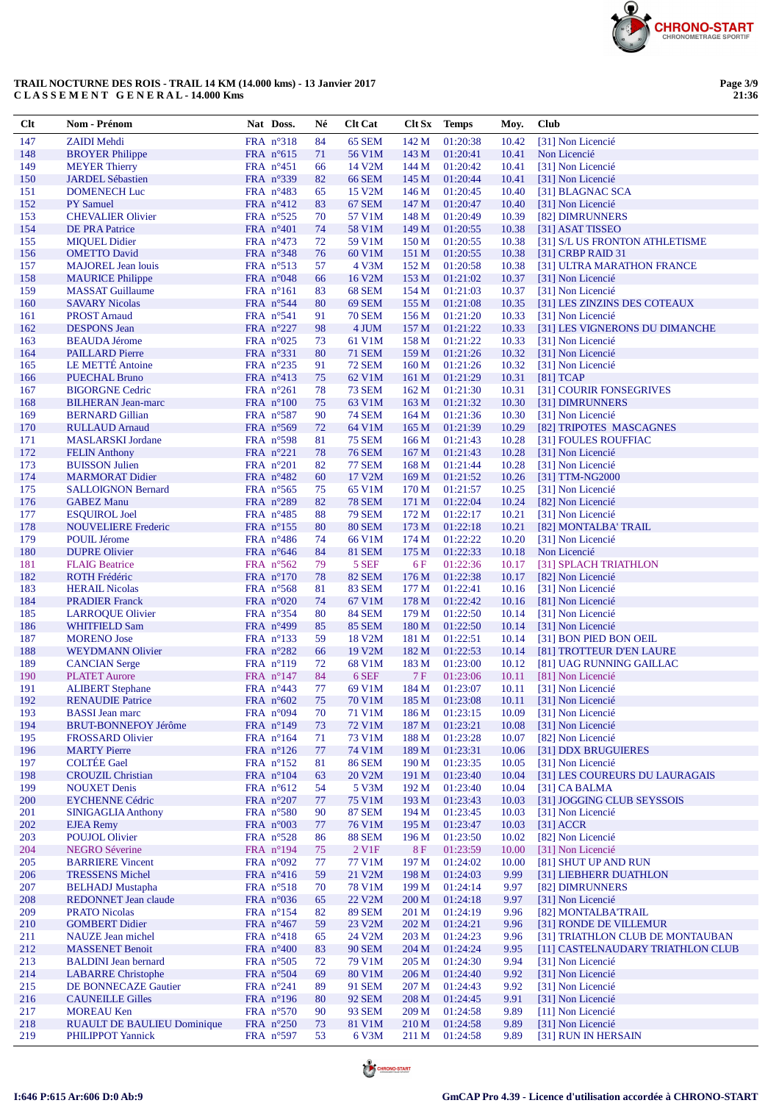

**Page 3/9 21:36**

| $Cl$       | Nom - Prénom                                           | Nat Doss.                                 | Né       | <b>Clt Cat</b>                       |                           | Clt Sx Temps         | Moy.           | <b>Club</b>                                            |
|------------|--------------------------------------------------------|-------------------------------------------|----------|--------------------------------------|---------------------------|----------------------|----------------|--------------------------------------------------------|
| 147        | <b>ZAIDI</b> Mehdi                                     | FRA n°318                                 | 84       | 65 SEM                               | 142 M                     | 01:20:38             | 10.42          | [31] Non Licencié                                      |
| 148        | <b>BROYER Philippe</b>                                 | FRA $n^{\circ}615$                        | 71       | 56 V1M                               | 143 M                     | 01:20:41             | 10.41          | Non Licencié                                           |
| 149        | <b>MEYER Thierry</b>                                   | FRA $n^{\circ}451$                        | 66       | 14 V <sub>2</sub> M                  | 144 M                     | 01:20:42             | 10.41          | [31] Non Licencié                                      |
| 150        | <b>JARDEL Sébastien</b>                                | FRA $n^{\circ}339$                        | 82       | <b>66 SEM</b>                        | 145 M                     | 01:20:44             | 10.41          | [31] Non Licencié                                      |
| 151<br>152 | <b>DOMENECH</b> Luc<br><b>PY</b> Samuel                | FRA $n^{\circ}483$<br>FRA $n^{\circ}412$  | 65<br>83 | 15 V <sub>2</sub> M<br><b>67 SEM</b> | 146 M<br>147 M            | 01:20:45<br>01:20:47 | 10.40<br>10.40 | [31] BLAGNAC SCA<br>[31] Non Licencié                  |
| 153        | <b>CHEVALIER Olivier</b>                               | FRA $n^{\circ}525$                        | 70       | 57 V1M                               | 148 M                     | 01:20:49             | 10.39          | [82] DIMRUNNERS                                        |
| 154        | <b>DE PRA Patrice</b>                                  | FRA $n^{\circ}401$                        | 74       | 58 V1M                               | 149 M                     | 01:20:55             | 10.38          | [31] ASAT TISSEO                                       |
| 155        | <b>MIQUEL Didier</b>                                   | FRA $n^{\circ}473$                        | 72       | 59 V1M                               | 150 <sub>M</sub>          | 01:20:55             | 10.38          | [31] S/L US FRONTON ATHLETISME                         |
| 156        | <b>OMETTO David</b>                                    | FRA n°348                                 | 76       | 60 V1M                               | 151 M                     | 01:20:55             | 10.38          | $[31]$ CRBP RAID 31                                    |
| 157        | <b>MAJOREL Jean louis</b>                              | FRA $n^{\circ}513$                        | 57       | 4 V3M                                | 152 M                     | 01:20:58             | 10.38          | [31] ULTRA MARATHON FRANCE                             |
| 158        | <b>MAURICE Philippe</b>                                | FRA $n^{\circ}048$                        | 66       | 16 V2M                               | 153 M                     | 01:21:02             | 10.37          | [31] Non Licencié                                      |
| 159<br>160 | <b>MASSAT Guillaume</b><br><b>SAVARY Nicolas</b>       | FRA $n^{\circ}161$                        | 83<br>80 | 68 SEM                               | 154 M                     | 01:21:03             | 10.37          | [31] Non Licencié                                      |
| 161        | <b>PROST Arnaud</b>                                    | FRA $n^{\circ}$ 544<br>FRA $n^{\circ}541$ | 91       | 69 SEM<br><b>70 SEM</b>              | 155 M<br>156M             | 01:21:08<br>01:21:20 | 10.35<br>10.33 | [31] LES ZINZINS DES COTEAUX<br>[31] Non Licencié      |
| 162        | <b>DESPONS</b> Jean                                    | FRA $n^{\circ}227$                        | 98       | 4 JUM                                | 157 <sub>M</sub>          | 01:21:22             | 10.33          | [31] LES VIGNERONS DU DIMANCHE                         |
| 163        | <b>BEAUDA Jérome</b>                                   | FRA $n^{\circ}025$                        | 73       | 61 V1M                               | 158 M                     | 01:21:22             | 10.33          | [31] Non Licencié                                      |
| 164        | <b>PAILLARD Pierre</b>                                 | FRA $n^{\circ}331$                        | 80       | <b>71 SEM</b>                        | 159M                      | 01:21:26             | 10.32          | [31] Non Licencié                                      |
| 165        | <b>LE METTÉ Antoine</b>                                | FRA n°235                                 | 91       | <b>72 SEM</b>                        | 160 M                     | 01:21:26             | 10.32          | [31] Non Licencié                                      |
| 166        | <b>PUECHAL Bruno</b>                                   | FRA $n^{\circ}413$                        | 75       | 62 V1M                               | 161 <sub>M</sub>          | 01:21:29             | 10.31          | $[81]$ TCAP                                            |
| 167        | <b>BIGORGNE Cedric</b>                                 | FRA $n^{\circ}261$                        | 78       | <b>73 SEM</b>                        | 162 M                     | 01:21:30             | 10.31          | [31] COURIR FONSEGRIVES                                |
| 168<br>169 | <b>BILHERAN Jean-marc</b><br><b>BERNARD</b> Gillian    | FRA $n^{\circ}100$<br>FRA $n^{\circ}587$  | 75<br>90 | 63 V1M<br><b>74 SEM</b>              | 163 M<br>164 M            | 01:21:32<br>01:21:36 | 10.30<br>10.30 | [31] DIMRUNNERS<br>[31] Non Licencié                   |
| 170        | <b>RULLAUD Arnaud</b>                                  | FRA $n^{\circ}569$                        | 72       | 64 V1M                               | 165 <sub>M</sub>          | 01:21:39             | 10.29          | [82] TRIPOTES MASCAGNES                                |
| 171        | <b>MASLARSKI</b> Jordane                               | FRA $n^{\circ}$ 598                       | 81       | <b>75 SEM</b>                        | 166M                      | 01:21:43             | 10.28          | [31] FOULES ROUFFIAC                                   |
| 172        | <b>FELIN Anthony</b>                                   | FRA n°221                                 | 78       | <b>76 SEM</b>                        | 167 M                     | 01:21:43             | 10.28          | [31] Non Licencié                                      |
| 173        | <b>BUISSON Julien</b>                                  | FRA $n^{\circ}201$                        | 82       | <b>77 SEM</b>                        | 168 <sub>M</sub>          | 01:21:44             | 10.28          | [31] Non Licencié                                      |
| 174        | <b>MARMORAT Didier</b>                                 | FRA $n^{\circ}482$                        | 60       | 17 V2M                               | 169 <sub>M</sub>          | 01:21:52             | 10.26          | [31] TTM-NG2000                                        |
| 175        | <b>SALLOIGNON Bernard</b>                              | FRA $n^{\circ}565$                        | 75       | 65 V1M                               | 170 <sub>M</sub>          | 01:21:57             | 10.25          | [31] Non Licencié                                      |
| 176        | <b>GABEZ Manu</b>                                      | FRA $n^{\circ}289$                        | 82       | <b>78 SEM</b>                        | 171 M                     | 01:22:04             | 10.24          | [82] Non Licencié                                      |
| 177<br>178 | <b>ESQUIROL Joel</b><br><b>NOUVELIERE Frederic</b>     | FRA $n^{\circ}485$<br>FRA $n^{\circ}155$  | 88<br>80 | <b>79 SEM</b><br><b>80 SEM</b>       | 172M<br>173 M             | 01:22:17<br>01:22:18 | 10.21<br>10.21 | [31] Non Licencié<br>[82] MONTALBA' TRAIL              |
| 179        | <b>POUIL Jérome</b>                                    | FRA $n^{\circ}486$                        | 74       | 66 V1M                               | 174M                      | 01:22:22             | 10.20          | [31] Non Licencié                                      |
| 180        | <b>DUPRE Olivier</b>                                   | FRA $n^{\circ}646$                        | 84       | <b>81 SEM</b>                        | 175 M                     | 01:22:33             | 10.18          | Non Licencié                                           |
| 181        | <b>FLAIG Beatrice</b>                                  | FRA $n^{\circ}562$                        | 79       | 5 SEF                                | 6 F                       | 01:22:36             | 10.17          | [31] SPLACH TRIATHLON                                  |
| 182        | <b>ROTH Frédéric</b>                                   | FRA $n^{\circ}170$                        | 78       | <b>82 SEM</b>                        | 176M                      | 01:22:38             | 10.17          | [82] Non Licencié                                      |
| 183        | <b>HERAIL Nicolas</b>                                  | FRA $n^{\circ}$ 568                       | 81       | <b>83 SEM</b>                        | 177 <sub>M</sub>          | 01:22:41             | 10.16          | [31] Non Licencié                                      |
| 184        | <b>PRADIER Franck</b>                                  | FRA $n^{\circ}020$                        | 74       | 67 V1M                               | 178 M                     | 01:22:42             | 10.16          | [81] Non Licencié                                      |
| 185        | <b>LARROQUE Olivier</b>                                | FRA $n^{\circ}354$                        | 80       | <b>84 SEM</b>                        | 179M                      | 01:22:50             | 10.14          | [31] Non Licencié                                      |
| 186<br>187 | <b>WHITFIELD Sam</b><br><b>MORENO</b> Jose             | FRA $n^{\circ}499$<br>FRA $n^{\circ}$ 133 | 85<br>59 | <b>85 SEM</b><br>18 V2M              | 180 <sub>M</sub><br>181 M | 01:22:50<br>01:22:51 | 10.14<br>10.14 | [31] Non Licencié<br>[31] BON PIED BON OEIL            |
| 188        | <b>WEYDMANN Olivier</b>                                | FRA $n^{\circ}282$                        | 66       | 19 V2M                               | 182 M                     | 01:22:53             | 10.14          | [81] TROTTEUR D'EN LAURE                               |
| 189        | <b>CANCIAN</b> Serge                                   | FRA $n^{\circ}119$                        | 72       | 68 V1M                               | 183 M                     | 01:23:00             | 10.12          | [81] UAG RUNNING GAILLAC                               |
| 190        | <b>PLATET Aurore</b>                                   | FRA $n^{\circ}147$                        | 84       | 6 SEF                                | 7F                        | 01:23:06             | 10.11          | [81] Non Licencié                                      |
| 191        | <b>ALIBERT Stephane</b>                                | FRA $n^{\circ}443$                        | 77       | 69 V1M                               | 184 M                     | 01:23:07             | 10.11          | [31] Non Licencié                                      |
| 192        | <b>RENAUDIE Patrice</b>                                | FRA $n^{\circ}602$                        | 75       | 70 V1M                               |                           | 185 M 01:23:08       | 10.11          | [31] Non Licencié                                      |
| 193        | <b>BASSI</b> Jean marc                                 | FRA n°094                                 | 70       | 71 V1M                               | 186 M                     | 01:23:15             | 10.09          | [31] Non Licencié                                      |
| 194<br>195 | <b>BRUT-BONNEFOY Jérôme</b><br><b>FROSSARD Olivier</b> | FRA n°149<br>FRA $n^{\circ}164$           | 73<br>71 | 72 V1M<br>73 V1M                     | 187 M<br>188 M            | 01:23:21<br>01:23:28 | 10.08<br>10.07 | [31] Non Licencié<br>[82] Non Licencié                 |
| 196        | <b>MARTY Pierre</b>                                    | FRA $n^{\circ}126$                        | 77       | 74 V1M                               | 189 M                     | 01:23:31             | 10.06          | [31] DDX BRUGUIERES                                    |
| 197        | <b>COLTÉE</b> Gael                                     | FRA $n^{\circ}152$                        | 81       | <b>86 SEM</b>                        | 190 <sub>M</sub>          | 01:23:35             | 10.05          | [31] Non Licencié                                      |
| 198        | <b>CROUZIL Christian</b>                               | FRA $n^{\circ}104$                        | 63       | 20 V2M                               | 191 M                     | 01:23:40             | 10.04          | [31] LES COUREURS DU LAURAGAIS                         |
| 199        | <b>NOUXET Denis</b>                                    | FRA $n^{\circ}612$                        | 54       | 5 V3M                                | 192 M                     | 01:23:40             | 10.04          | [31] CA BALMA                                          |
| 200        | <b>EYCHENNE Cédric</b>                                 | FRA $n^{\circ}207$                        | 77       | 75 V1M                               | 193 M                     | 01:23:43             | 10.03          | [31] JOGGING CLUB SEYSSOIS                             |
| 201        | <b>SINIGAGLIA Anthony</b>                              | FRA $n^{\circ}580$                        | 90       | <b>87 SEM</b>                        | 194 M                     | 01:23:45             | 10.03          | [31] Non Licencié                                      |
| 202        | <b>EJEA</b> Remy                                       | FRA $n^{\circ}003$                        | 77       | 76 V1M                               | 195 M                     | 01:23:47             | 10.03          | $[31]$ ACCR<br>[82] Non Licencié                       |
| 203<br>204 | <b>POUJOL Olivier</b><br><b>NEGRO Séverine</b>         | FRA $n^{\circ}528$<br>FRA $n^{\circ}194$  | 86<br>75 | <b>88 SEM</b><br>2 V <sub>1</sub> F  | 196 M<br><b>8F</b>        | 01:23:50<br>01:23:59 | 10.02<br>10.00 | [31] Non Licencié                                      |
| 205        | <b>BARRIERE Vincent</b>                                | FRA $n^{\circ}092$                        | 77       | 77 V1M                               | 197 M                     | 01:24:02             | 10.00          | [81] SHUT UP AND RUN                                   |
| 206        | <b>TRESSENS Michel</b>                                 | FRA $n^{\circ}416$                        | 59       | 21 V2M                               | 198 M                     | 01:24:03             | 9.99           | [31] LIEBHERR DUATHLON                                 |
| 207        | <b>BELHADJ</b> Mustapha                                | FRA $n^{\circ}518$                        | 70       | 78 V1M                               | 199 M                     | 01:24:14             | 9.97           | [82] DIMRUNNERS                                        |
| 208        | <b>REDONNET Jean claude</b>                            | FRA $n^{\circ}036$                        | 65       | 22 V2M                               | 200 M                     | 01:24:18             | 9.97           | [31] Non Licencié                                      |
| 209        | <b>PRATO Nicolas</b>                                   | FRA $n^{\circ}154$                        | 82       | <b>89 SEM</b>                        | 201 M                     | 01:24:19             | 9.96           | [82] MONTALBA'TRAIL                                    |
| 210        | <b>GOMBERT Didier</b>                                  | FRA $n^{\circ}467$                        | 59       | 23 V2M                               | 202 M                     | 01:24:21             | 9.96           | [31] RONDE DE VILLEMUR                                 |
| 211<br>212 | <b>NAUZE</b> Jean michel                               | FRA $n^{\circ}418$                        | 65       | 24 V2M<br><b>90 SEM</b>              | 203 M                     | 01:24:23             | 9.96           | [31] TRIATHLON CLUB DE MONTAUBAN                       |
| 213        | <b>MASSENET Benoit</b><br><b>BALDINI</b> Jean bernard  | FRA $n^{\circ}400$<br>FRA $n^{\circ}505$  | 83<br>72 | 79 V1M                               | 204 M<br>205 M            | 01:24:24<br>01:24:30 | 9.95<br>9.94   | [11] CASTELNAUDARY TRIATHLON CLUB<br>[31] Non Licencié |
| 214        | <b>LABARRE</b> Christophe                              | FRA $n^{\circ}504$                        | 69       | 80 V1M                               | 206 M                     | 01:24:40             | 9.92           | [31] Non Licencié                                      |
| 215        | DE BONNECAZE Gautier                                   | FRA $n^{\circ}241$                        | 89       | 91 SEM                               | 207 M                     | 01:24:43             | 9.92           | [31] Non Licencié                                      |
| 216        | <b>CAUNEILLE Gilles</b>                                | FRA $n^{\circ}196$                        | 80       | <b>92 SEM</b>                        | 208 M                     | 01:24:45             | 9.91           | [31] Non Licencié                                      |
| 217        | <b>MOREAU Ken</b>                                      | FRA $n^{\circ}570$                        | 90       | 93 SEM                               | 209 <sub>M</sub>          | 01:24:58             | 9.89           | [11] Non Licencié                                      |
| 218        | <b>RUAULT DE BAULIEU Dominique</b>                     | FRA $n^{\circ}250$                        | 73       | 81 V1M                               | 210 M                     | 01:24:58             | 9.89           | [31] Non Licencié                                      |
| 219        | <b>PHILIPPOT Yannick</b>                               | FRA n°597                                 | 53       | 6 V3M                                | 211 M                     | 01:24:58             | 9.89           | [31] RUN IN HERSAIN                                    |



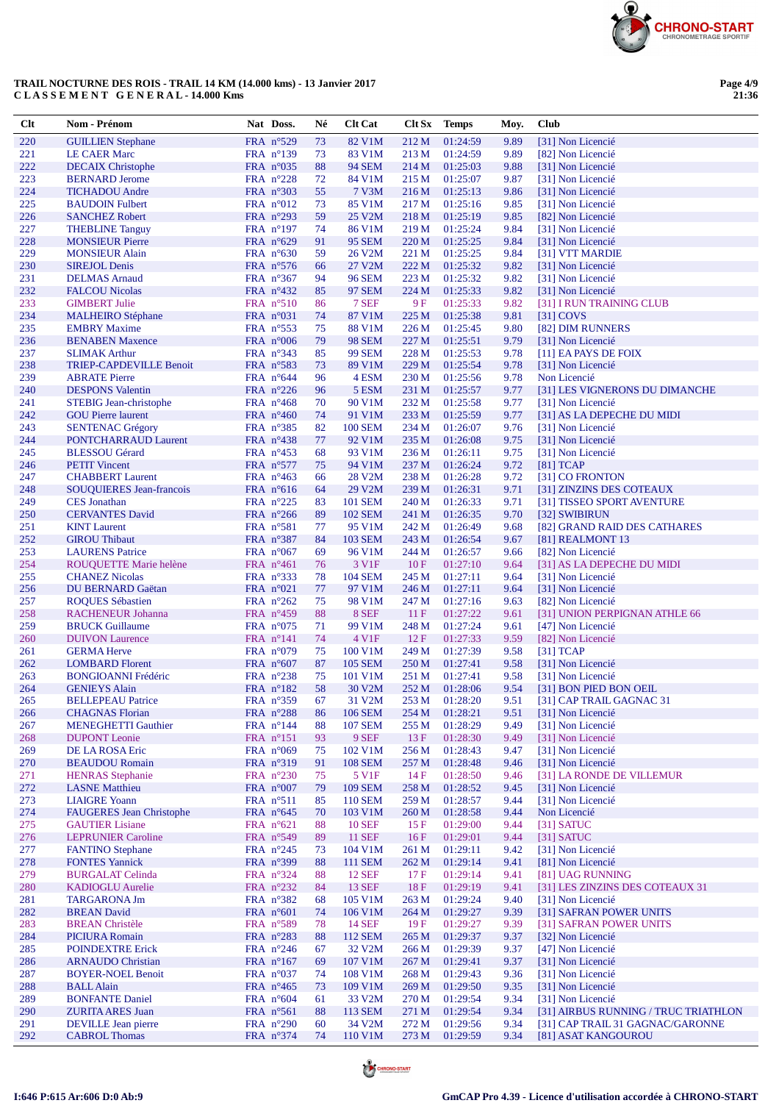

| Clt        | Nom - Prénom                                     | Nat Doss.                                | Né       | <b>Clt Cat</b>                 |                  | Clt Sx Temps         | Moy.         | <b>Club</b>                                        |
|------------|--------------------------------------------------|------------------------------------------|----------|--------------------------------|------------------|----------------------|--------------|----------------------------------------------------|
| 220        | <b>GUILLIEN Stephane</b>                         | FRA n°529                                | 73       | 82 V1M                         | 212 M            | 01:24:59             | 9.89         | [31] Non Licencié                                  |
| 221        | <b>LE CAER Marc</b>                              | FRA $n^{\circ}139$                       | 73       | 83 V1M                         | 213 M            | 01:24:59             | 9.89         | [82] Non Licencié                                  |
| 222        | <b>DECAIX Christophe</b>                         | FRA $n^{\circ}035$                       | 88       | <b>94 SEM</b>                  | 214 M            | 01:25:03             | 9.88         | [31] Non Licencié                                  |
| 223        | <b>BERNARD</b> Jerome                            | FRA $n^{\circ}228$                       | 72       | 84 V1M                         | 215 M            | 01:25:07             | 9.87         | [31] Non Licencié                                  |
| 224        | <b>TICHADOU</b> Andre                            | FRA $n^{\circ}303$                       | 55       | 7 V3M                          | 216M             | 01:25:13             | 9.86         | [31] Non Licencié                                  |
| 225        | <b>BAUDOIN</b> Fulbert                           | FRA $n^{\circ}012$                       | 73       | 85 V1M                         | 217 M            | 01:25:16             | 9.85         | [31] Non Licencié                                  |
| 226        | <b>SANCHEZ Robert</b>                            | FRA $n^{\circ}293$                       | 59       | 25 V2M                         | 218 M            | 01:25:19             | 9.85         | [82] Non Licencié                                  |
| 227        | <b>THEBLINE Tanguy</b>                           | FRA $n^{\circ}197$                       | 74       | 86 V1M                         | 219M             | 01:25:24             | 9.84         | [31] Non Licencié                                  |
| 228<br>229 | <b>MONSIEUR Pierre</b>                           | FRA $n^{\circ}629$                       | 91<br>59 | <b>95 SEM</b>                  | 220 M<br>221 M   | 01:25:25             | 9.84         | [31] Non Licencié<br>[31] VTT MARDIE               |
| 230        | <b>MONSIEUR Alain</b><br><b>SIREJOL Denis</b>    | FRA $n^{\circ}630$<br>FRA n°576          | 66       | 26 V2M<br>27 V2M               | 222 M            | 01:25:25<br>01:25:32 | 9.84<br>9.82 | [31] Non Licencié                                  |
| 231        | <b>DELMAS</b> Arnaud                             | FRA $n^{\circ}367$                       | 94       | <b>96 SEM</b>                  | 223M             | 01:25:32             | 9.82         | [31] Non Licencié                                  |
| 232        | <b>FALCOU Nicolas</b>                            | FRA $n^{\circ}432$                       | 85       | 97 SEM                         | 224 M            | 01:25:33             | 9.82         | [31] Non Licencié                                  |
| 233        | <b>GIMBERT Julie</b>                             | FRA $n^{\circ}510$                       | 86       | 7 SEF                          | 9F               | 01:25:33             | 9.82         | [31] I RUN TRAINING CLUB                           |
| 234        | <b>MALHEIRO</b> Stéphane                         | FRA $n^{\circ}031$                       | 74       | 87 V1M                         | 225 M            | 01:25:38             | 9.81         | $[31]$ COVS                                        |
| 235        | <b>EMBRY Maxime</b>                              | FRA $n^{\circ}$ 553                      | 75       | 88 V1M                         | 226M             | 01:25:45             | 9.80         | [82] DIM RUNNERS                                   |
| 236        | <b>BENABEN Maxence</b>                           | FRA $n^{\circ}006$                       | 79       | <b>98 SEM</b>                  | 227 M            | 01:25:51             | 9.79         | [31] Non Licencié                                  |
| 237        | <b>SLIMAK Arthur</b>                             | FRA $n^{\circ}343$                       | 85       | <b>99 SEM</b>                  | 228 M            | 01:25:53             | 9.78         | [11] EA PAYS DE FOIX                               |
| 238        | <b>TRIEP-CAPDEVILLE Benoit</b>                   | FRA $n^{\circ}583$                       | 73       | 89 V1M                         | 229 M            | 01:25:54             | 9.78         | [31] Non Licencié                                  |
| 239        | <b>ABRATE Pierre</b>                             | FRA $n^{\circ}644$                       | 96       | 4 ESM                          | 230 M            | 01:25:56             | 9.78         | Non Licencié                                       |
| 240        | <b>DESPONS</b> Valentin                          | FRA $n^{\circ}226$                       | 96       | 5 ESM                          | 231 M            | 01:25:57             | 9.77         | [31] LES VIGNERONS DU DIMANCHE                     |
| 241        | <b>STEBIG Jean-christophe</b>                    | FRA $n^{\circ}468$                       | 70       | 90 V1M                         | 232 M            | 01:25:58             | 9.77         | [31] Non Licencié                                  |
| 242        | <b>GOU Pierre laurent</b>                        | FRA $n^{\circ}460$                       | 74       | 91 V1M                         | 233 M            | 01:25:59             | 9.77         | [31] AS LA DEPECHE DU MIDI                         |
| 243<br>244 | <b>SENTENAC Grégory</b>                          | FRA $n^{\circ}385$                       | 82       | <b>100 SEM</b>                 | 234 M            | 01:26:07             | 9.76         | [31] Non Licencié<br>[31] Non Licencié             |
| 245        | PONTCHARRAUD Laurent<br><b>BLESSOU</b> Gérard    | FRA $n^{\circ}438$<br>FRA $n^{\circ}453$ | 77<br>68 | 92 V1M<br>93 V1M               | 235 M<br>236 M   | 01:26:08<br>01:26:11 | 9.75<br>9.75 | [31] Non Licencié                                  |
| 246        | <b>PETIT Vincent</b>                             | FRA $n^{\circ}577$                       | 75       | 94 V1M                         | 237 M            | 01:26:24             | 9.72         | $[81]$ TCAP                                        |
| 247        | <b>CHABBERT Laurent</b>                          | FRA $n^{\circ}463$                       | 66       | 28 V <sub>2</sub> M            | 238 M            | 01:26:28             | 9.72         | [31] CO FRONTON                                    |
| 248        | <b>SOUQUIERES Jean-francois</b>                  | FRA $n^{\circ}616$                       | 64       | 29 V2M                         | 239 M            | 01:26:31             | 9.71         | [31] ZINZINS DES COTEAUX                           |
| 249        | <b>CES</b> Jonathan                              | FRA $n^{\circ}225$                       | 83       | <b>101 SEM</b>                 | 240 M            | 01:26:33             | 9.71         | [31] TISSEO SPORT AVENTURE                         |
| 250        | <b>CERVANTES David</b>                           | FRA $n^{\circ}266$                       | 89       | <b>102 SEM</b>                 | 241 M            | 01:26:35             | 9.70         | [32] SWIBIRUN                                      |
| 251        | <b>KINT</b> Laurent                              | $FRA$ n°581                              | 77       | 95 V1M                         | 242 M            | 01:26:49             | 9.68         | [82] GRAND RAID DES CATHARES                       |
| 252        | <b>GIROU Thibaut</b>                             | FRA $n^{\circ}387$                       | 84       | <b>103 SEM</b>                 | 243 M            | 01:26:54             | 9.67         | [81] REALMONT 13                                   |
| 253        | <b>LAURENS</b> Patrice                           | FRA $n^{\circ}067$                       | 69       | 96 V1M                         | 244 M            | 01:26:57             | 9.66         | [82] Non Licencié                                  |
| 254        | ROUQUETTE Marie helène                           | FRA $n^{\circ}461$                       | 76       | 3 V1F                          | 10F              | 01:27:10             | 9.64         | [31] AS LA DEPECHE DU MIDI                         |
| 255        | <b>CHANEZ Nicolas</b>                            | FRA $n^{\circ}333$                       | 78       | <b>104 SEM</b>                 | 245 M            | 01:27:11             | 9.64         | [31] Non Licencié                                  |
| 256        | DU BERNARD Gaëtan                                | FRA $n^{\circ}021$                       | 77       | 97 V1M                         | 246 M            | 01:27:11             | 9.64         | [31] Non Licencié                                  |
| 257        | <b>ROQUES Sébastien</b>                          | FRA $n^{\circ}262$                       | 75       | 98 V1M                         | 247 M            | 01:27:16             | 9.63         | [82] Non Licencié                                  |
| 258<br>259 | RACHENEUR Johanna<br><b>BRUCK Guillaume</b>      | FRA $n^{\circ}459$<br>FRA $n^{\circ}075$ | 88<br>71 | 8 SEF<br>99 V1M                | 11F<br>248 M     | 01:27:22<br>01:27:24 | 9.61<br>9.61 | [31] UNION PERPIGNAN ATHLE 66<br>[47] Non Licencié |
| 260        | <b>DUIVON Laurence</b>                           | FRA $n^{\circ}141$                       | 74       | 4 V1F                          | 12 F             | 01:27:33             | 9.59         | [82] Non Licencié                                  |
| 261        | <b>GERMA Herve</b>                               | FRA $n^{\circ}079$                       | 75       | 100 V1M                        | 249 M            | 01:27:39             | 9.58         | [31] TCAP                                          |
| 262        | <b>LOMBARD</b> Florent                           | FRA $n^{\circ}607$                       | 87       | <b>105 SEM</b>                 | 250 M            | 01:27:41             | 9.58         | [31] Non Licencié                                  |
| 263        | <b>BONGIOANNI Frédéric</b>                       | FRA $n^{\circ}238$                       | 75       | 101 V1M                        | 251 M            | 01:27:41             | 9.58         | [31] Non Licencié                                  |
| 264        | <b>GENIEYS Alain</b>                             | FRA $n^{\circ}182$                       | 58       | 30 V <sub>2</sub> M            | 252 M            | 01:28:06             | 9.54         | [31] BON PIED BON OEIL                             |
| 265        | <b>BELLEPEAU Patrice</b>                         | FRA n°359                                | 67       | 31 V2M                         | 253 M            | 01:28:20             | 9.51         | [31] CAP TRAIL GAGNAC 31                           |
| 266        | <b>CHAGNAS</b> Florian                           | FRA n°288                                | 86       | <b>106 SEM</b>                 | 254 M            | 01:28:21             | 9.51         | [31] Non Licencié                                  |
| 267        | <b>MENEGHETTI Gauthier</b>                       | FRA $n^{\circ}144$                       | 88       | <b>107 SEM</b>                 | 255 M            | 01:28:29             | 9.49         | [31] Non Licencié                                  |
| 268        | <b>DUPONT</b> Leonie                             | FRA $n^{\circ}151$                       | 93       | $9$ SEF                        | 13F              | 01:28:30             | 9.49         | [31] Non Licencié                                  |
| 269        | DE LA ROSA Eric                                  | FRA $n^{\circ}069$                       | 75       | 102 V1M                        | 256 M            | 01:28:43             | 9.47         | [31] Non Licencié                                  |
| 270<br>271 | <b>BEAUDOU Romain</b><br><b>HENRAS</b> Stephanie | FRA $n^{\circ}319$<br>FRA $n^{\circ}230$ | 91<br>75 | <b>108 SEM</b><br>5 V1F        | 257 M<br>14F     | 01:28:48<br>01:28:50 | 9.46<br>9.46 | [31] Non Licencié<br>[31] LA RONDE DE VILLEMUR     |
| 272        | <b>LASNE</b> Matthieu                            | FRA $n^{\circ}007$                       | 79       | <b>109 SEM</b>                 | 258 M            | 01:28:52             | 9.45         | [31] Non Licencié                                  |
| 273        | <b>LIAIGRE Yoann</b>                             | FRA $n^{\circ}511$                       | 85       | <b>110 SEM</b>                 | 259 M            | 01:28:57             | 9.44         | [31] Non Licencié                                  |
| 274        | <b>FAUGERES Jean Christophe</b>                  | FRA $n^{\circ}645$                       | 70       | 103 V1M                        | 260 M            | 01:28:58             | 9.44         | Non Licencié                                       |
| 275        | <b>GAUTIER</b> Lisiane                           | FRA $n^{\circ}621$                       | 88       | <b>10 SEF</b>                  | 15F              | 01:29:00             | 9.44         | $[31]$ SATUC                                       |
| 276        | <b>LEPRUNIER Caroline</b>                        | FRA $n^{\circ}549$                       | 89       | <b>11 SEF</b>                  | 16F              | 01:29:01             | 9.44         | $[31]$ SATUC                                       |
| 277        | <b>FANTINO Stephane</b>                          | FRA $n^{\circ}245$                       | 73       | 104 V1M                        | 261 M            | 01:29:11             | 9.42         | [31] Non Licencié                                  |
| 278        | <b>FONTES Yannick</b>                            | FRA $n^{\circ}399$                       | 88       | <b>111 SEM</b>                 | 262 M            | 01:29:14             | 9.41         | [81] Non Licencié                                  |
| 279        | <b>BURGALAT Celinda</b>                          | FRA $n^{\circ}324$                       | 88       | <b>12 SEF</b>                  | 17F              | 01:29:14             | 9.41         | [81] UAG RUNNING                                   |
| 280        | <b>KADIOGLU Aurelie</b>                          | FRA $n^{\circ}232$                       | 84       | 13 SEF                         | $18F$            | 01:29:19             | 9.41         | [31] LES ZINZINS DES COTEAUX 31                    |
| 281        | <b>TARGARONA Jm</b>                              | FRA $n^{\circ}382$                       | 68       | 105 V1M                        | 263 M            | 01:29:24             | 9.40         | [31] Non Licencié                                  |
| 282        | <b>BREAN David</b>                               | FRA $n^{\circ}601$                       | 74       | 106 V1M                        | 264 M            | 01:29:27             | 9.39         | [31] SAFRAN POWER UNITS                            |
| 283<br>284 | <b>BREAN</b> Christèle                           | FRA n°589                                | 78       | <b>14 SEF</b>                  | 19F              | 01:29:27             | 9.39         | [31] SAFRAN POWER UNITS                            |
| 285        | <b>PICIURA Romain</b><br><b>POINDEXTRE Erick</b> | FRA $n^{\circ}283$<br>FRA n°246          | 88<br>67 | 112 SEM<br>32 V <sub>2</sub> M | 265 M<br>266 M   | 01:29:37<br>01:29:39 | 9.37<br>9.37 | [32] Non Licencié<br>[47] Non Licencié             |
| 286        | <b>ARNAUDO</b> Christian                         | FRA $n^{\circ}167$                       | 69       | 107 V1M                        | 267 M            | 01:29:41             | 9.37         | [31] Non Licencié                                  |
| 287        | <b>BOYER-NOEL Benoit</b>                         | FRA $n^{\circ}037$                       | 74       | 108 V1M                        | 268 M            | 01:29:43             | 9.36         | [31] Non Licencié                                  |
| 288        | <b>BALL Alain</b>                                | FRA $n^{\circ}465$                       | 73       | 109 V1M                        | 269 <sub>M</sub> | 01:29:50             | 9.35         | [31] Non Licencié                                  |
| 289        | <b>BONFANTE Daniel</b>                           | FRA $n^{\circ}604$                       | 61       | 33 V2M                         | 270 M            | 01:29:54             | 9.34         | [31] Non Licencié                                  |
| 290        | <b>ZURITA ARES Juan</b>                          | FRA n°561                                | 88       | <b>113 SEM</b>                 | 271 M            | 01:29:54             | 9.34         | [31] AIRBUS RUNNING / TRUC TRIATHLON               |
| 291        | <b>DEVILLE</b> Jean pierre                       | FRA $n^{\circ}290$                       | 60       | 34 V2M                         | 272 M            | 01:29:56             | 9.34         | [31] CAP TRAIL 31 GAGNAC/GARONNE                   |
| 292        | <b>CABROL Thomas</b>                             | FRA n°374                                | 74       | 110 V1M                        | 273 M            | 01:29:59             | 9.34         | [81] ASAT KANGOUROU                                |



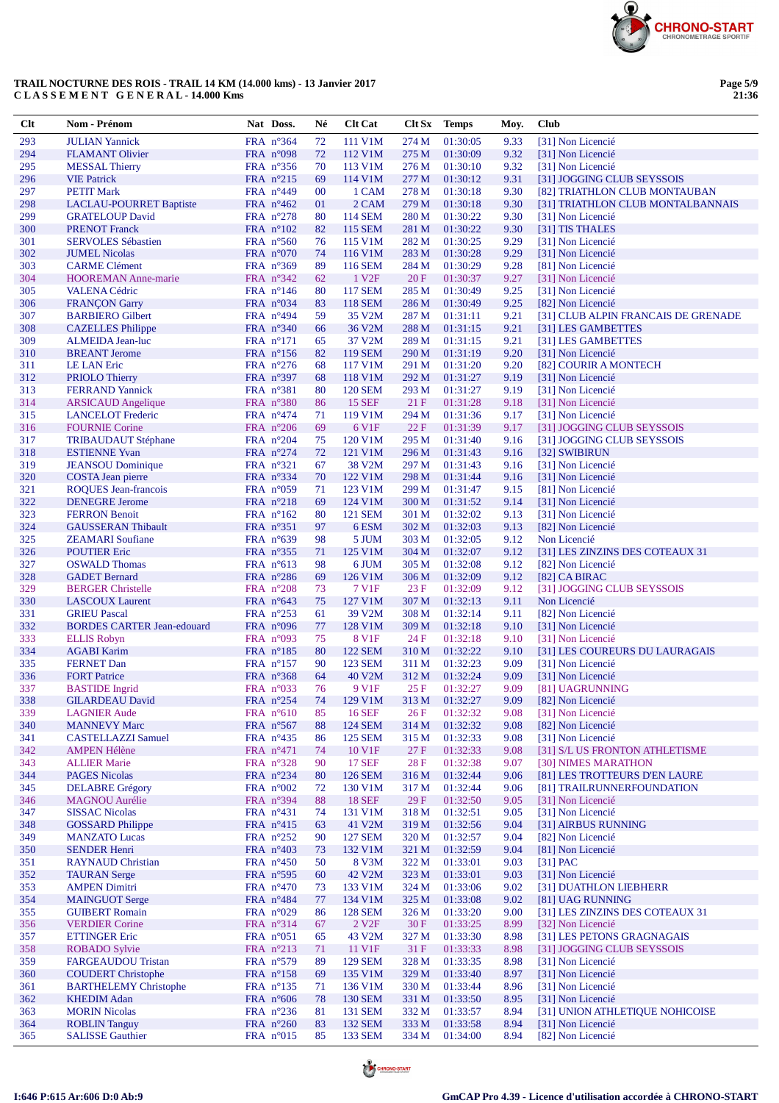

**Page 5/9 21:36**

| $Cl$ t     | Nom - Prénom                                           | Nat Doss.                                | Né       | <b>Clt Cat</b>                 |                | Clt Sx Temps         | Moy.         | <b>Club</b>                                         |
|------------|--------------------------------------------------------|------------------------------------------|----------|--------------------------------|----------------|----------------------|--------------|-----------------------------------------------------|
| 293        | <b>JULIAN Yannick</b>                                  | FRA n°364                                | 72       | 111 V1M                        | 274 M          | 01:30:05             | 9.33         | [31] Non Licencié                                   |
| 294        | <b>FLAMANT Olivier</b>                                 | FRA $n^{\circ}098$                       | 72       | 112 V1M                        | 275 M          | 01:30:09             | 9.32         | [31] Non Licencié                                   |
| 295        | <b>MESSAL Thierry</b>                                  | FRA $n^{\circ}356$                       | 70       | 113 V1M                        | 276 M          | 01:30:10             | 9.32         | [31] Non Licencié                                   |
| 296        | <b>VIE Patrick</b>                                     | FRA $n^{\circ}215$                       | 69       | 114 V1M                        | 277 M          | 01:30:12             | 9.31         | [31] JOGGING CLUB SEYSSOIS                          |
| 297        | <b>PETIT Mark</b>                                      | FRA $n^{\circ}449$                       | $00\,$   | 1 CAM                          | 278 M          | 01:30:18             | 9.30         | [82] TRIATHLON CLUB MONTAUBAN                       |
| 298        | <b>LACLAU-POURRET Baptiste</b>                         | FRA $n^{\circ}462$                       | 01       | 2 CAM                          | 279 M          | 01:30:18             | 9.30         | [31] TRIATHLON CLUB MONTALBANNAIS                   |
| 299        | <b>GRATELOUP David</b>                                 | FRA $n^{\circ}278$                       | 80       | <b>114 SEM</b>                 | 280 M          | 01:30:22             | 9.30         | [31] Non Licencié                                   |
| 300        | <b>PRENOT</b> Franck                                   | $FRA$ n°102                              | 82       | <b>115 SEM</b>                 | 281 M          | 01:30:22             | 9.30         | [31] TIS THALES                                     |
| 301        | <b>SERVOLES Sébastien</b>                              | FRA $n^{\circ}560$                       | 76       | 115 V1M                        | 282 M          | 01:30:25             | 9.29         | [31] Non Licencié                                   |
| 302        | <b>JUMEL Nicolas</b>                                   | FRA $n^{\circ}070$                       | 74       | 116 V1M                        | 283 M          | 01:30:28             | 9.29         | [31] Non Licencié                                   |
| 303<br>304 | <b>CARME</b> Clément<br><b>HOOREMAN Anne-marie</b>     | FRA $n^{\circ}369$                       | 89<br>62 | 116 SEM<br>1 V <sub>2F</sub>   | 284 M<br>20F   | 01:30:29             | 9.28         | [81] Non Licencié<br>[31] Non Licencié              |
| 305        | <b>VALENA Cédric</b>                                   | FRA $n^{\circ}342$<br>FRA $n^{\circ}146$ | 80       | <b>117 SEM</b>                 | 285 M          | 01:30:37<br>01:30:49 | 9.27<br>9.25 | [31] Non Licencié                                   |
| 306        | <b>FRANÇON Garry</b>                                   | FRA n°034                                | 83       | <b>118 SEM</b>                 | 286 M          | 01:30:49             | 9.25         | [82] Non Licencié                                   |
| 307        | <b>BARBIERO</b> Gilbert                                | $FRA$ n°494                              | 59       | 35 V2M                         | 287 M          | 01:31:11             | 9.21         | [31] CLUB ALPIN FRANCAIS DE GRENADE                 |
| 308        | <b>CAZELLES</b> Philippe                               | FRA $n^{\circ}340$                       | 66       | 36 V2M                         | 288 M          | 01:31:15             | 9.21         | [31] LES GAMBETTES                                  |
| 309        | <b>ALMEIDA Jean-luc</b>                                | $FRA$ n°171                              | 65       | 37 V2M                         | 289 M          | 01:31:15             | 9.21         | [31] LES GAMBETTES                                  |
| 310        | <b>BREANT</b> Jerome                                   | FRA $n^{\circ}156$                       | 82       | <b>119 SEM</b>                 | 290 M          | 01:31:19             | 9.20         | [31] Non Licencié                                   |
| 311        | <b>LE LAN Eric</b>                                     | FRA $n^{\circ}276$                       | 68       | 117 V1M                        | 291 M          | 01:31:20             | 9.20         | [82] COURIR A MONTECH                               |
| 312        | <b>PRIOLO</b> Thierry                                  | FRA $n^{\circ}397$                       | 68       | 118 V1M                        | 292 M          | 01:31:27             | 9.19         | [31] Non Licencié                                   |
| 313        | <b>FERRAND Yannick</b>                                 | FRA $n^{\circ}381$                       | 80       | <b>120 SEM</b>                 | 293 M          | 01:31:27             | 9.19         | [31] Non Licencié                                   |
| 314        | <b>ARSICAUD</b> Angelique                              | FRA $n^{\circ}380$                       | 86       | <b>15 SEF</b>                  | 21 F           | 01:31:28             | 9.18         | [31] Non Licencié                                   |
| 315        | <b>LANCELOT</b> Frederic                               | FRA $n^{\circ}474$                       | 71       | 119 V1M                        | 294 M          | 01:31:36             | 9.17         | [31] Non Licencié                                   |
| 316        | <b>FOURNIE Corine</b>                                  | FRA $n^{\circ}206$                       | 69       | 6 V1F                          | 22F            | 01:31:39             | 9.17         | [31] JOGGING CLUB SEYSSOIS                          |
| 317        | <b>TRIBAUDAUT Stéphane</b>                             | FRA $n^{\circ}204$                       | 75       | 120 V1M                        | 295 M          | 01:31:40             | 9.16         | [31] JOGGING CLUB SEYSSOIS                          |
| 318        | <b>ESTIENNE Yvan</b>                                   | FRA $n^{\circ}274$                       | 72       | 121 V1M                        | 296 M          | 01:31:43             | 9.16         | [32] SWIBIRUN                                       |
| 319<br>320 | <b>JEANSOU</b> Dominique<br>COSTA Jean pierre          | FRA $n^{\circ}321$<br>FRA $n^{\circ}334$ | 67<br>70 | 38 V <sub>2</sub> M<br>122 V1M | 297 M<br>298 M | 01:31:43<br>01:31:44 | 9.16<br>9.16 | [31] Non Licencié<br>[31] Non Licencié              |
| 321        | <b>ROQUES</b> Jean-francois                            | $FRA$ n°059                              | 71       | 123 V1M                        | 299 M          | 01:31:47             | 9.15         | [81] Non Licencié                                   |
| 322        | <b>DENEGRE Jerome</b>                                  | FRA $n^{\circ}218$                       | 69       | 124 V1M                        | 300 M          | 01:31:52             | 9.14         | [31] Non Licencié                                   |
| 323        | <b>FERRON Benoit</b>                                   | FRA $n^{\circ}162$                       | 80       | <b>121 SEM</b>                 | 301 M          | 01:32:02             | 9.13         | [31] Non Licencié                                   |
| 324        | <b>GAUSSERAN Thibault</b>                              | FRA $n^{\circ}351$                       | 97       | 6 ESM                          | 302 M          | 01:32:03             | 9.13         | [82] Non Licencié                                   |
| 325        | <b>ZEAMARI</b> Soufiane                                | FRA $n^{\circ}639$                       | 98       | 5 JUM                          | 303 M          | 01:32:05             | 9.12         | Non Licencié                                        |
| 326        | <b>POUTIER Eric</b>                                    | FRA $n^{\circ}355$                       | 71       | 125 V1M                        | 304 M          | 01:32:07             | 9.12         | [31] LES ZINZINS DES COTEAUX 31                     |
| 327        | <b>OSWALD Thomas</b>                                   | FRA $n^{\circ}613$                       | 98       | 6 JUM                          | 305 M          | 01:32:08             | 9.12         | [82] Non Licencié                                   |
| 328        | <b>GADET</b> Bernard                                   | FRA $n^{\circ}286$                       | 69       | 126 V1M                        | 306 M          | 01:32:09             | 9.12         | $[82]$ CA BIRAC                                     |
| 329        | <b>BERGER Christelle</b>                               | FRA $n^{\circ}208$                       | 73       | 7 V1F                          | 23F            | 01:32:09             | 9.12         | [31] JOGGING CLUB SEYSSOIS                          |
| 330        | <b>LASCOUX Laurent</b>                                 | FRA $n^{\circ}643$                       | 75       | 127 V1M                        | 307 M          | 01:32:13             | 9.11         | Non Licencié                                        |
| 331        | <b>GRIEU Pascal</b>                                    | FRA $n^{\circ}253$                       | 61       | 39 V2M                         | 308 M          | 01:32:14             | 9.11         | [82] Non Licencié                                   |
| 332<br>333 | <b>BORDES CARTER Jean-edouard</b>                      | FRA $n^{\circ}096$                       | 77       | 128 V1M<br><b>8 V1F</b>        | 309 M          | 01:32:18             | 9.10         | [31] Non Licencié                                   |
| 334        | <b>ELLIS Robyn</b><br><b>AGABI Karim</b>               | FRA $n^{\circ}093$<br>FRA n°185          | 75<br>80 | <b>122 SEM</b>                 | 24 F<br>310 M  | 01:32:18<br>01:32:22 | 9.10<br>9.10 | [31] Non Licencié<br>[31] LES COUREURS DU LAURAGAIS |
| 335        | <b>FERNET Dan</b>                                      | FRA $n^{\circ}157$                       | 90       | <b>123 SEM</b>                 | 311 M          | 01:32:23             | 9.09         | [31] Non Licencié                                   |
| 336        | <b>FORT Patrice</b>                                    | FRA n°368                                | 64       | 40 V2M                         | 312 M          | 01:32:24             | 9.09         | [31] Non Licencié                                   |
| 337        | <b>BASTIDE</b> Ingrid                                  | FRA $n^{\circ}033$                       | 76       | 9 V <sub>1F</sub>              | 25 F           | 01:32:27             | 9.09         | [81] UAGRUNNING                                     |
| 338        | <b>GILARDEAU David</b>                                 | FRA n°254                                | 74       | 129 V1M                        | 313 M          | 01:32:27             | 9.09         | [82] Non Licencié                                   |
| 339        | <b>LAGNIER Aude</b>                                    | FRA n°610                                | 85       | <b>16 SEF</b>                  | 26F            | 01:32:32             | 9.08         | [31] Non Licencié                                   |
| 340        | <b>MANNEVY Marc</b>                                    | FRA $n^{\circ}567$                       | 88       | <b>124 SEM</b>                 | 314 M          | 01:32:32             | 9.08         | [82] Non Licencié                                   |
| 341        | <b>CASTELLAZZI Samuel</b>                              | FRA $n^{\circ}435$                       | 86       | <b>125 SEM</b>                 | 315 M          | 01:32:33             | 9.08         | [31] Non Licencié                                   |
| 342        | <b>AMPEN Hélène</b>                                    | FRA n°471                                | 74       | 10 V1F                         | 27 F           | 01:32:33             | 9.08         | [31] S/L US FRONTON ATHLETISME                      |
| 343        | <b>ALLIER Marie</b>                                    | FRA $n^{\circ}328$                       | 90       | <b>17 SEF</b>                  | 28F            | 01:32:38             | 9.07         | [30] NIMES MARATHON                                 |
| 344        | <b>PAGES Nicolas</b>                                   | FRA n°234                                | 80       | <b>126 SEM</b>                 | 316 M          | 01:32:44             | 9.06         | [81] LES TROTTEURS D'EN LAURE                       |
| 345<br>346 | <b>DELABRE Grégory</b><br><b>MAGNOU</b> Aurélie        | FRA $n^{\circ}002$<br>FRA n°394          | 72<br>88 | 130 V1M<br><b>18 SEF</b>       | 317 M<br>29F   | 01:32:44<br>01:32:50 | 9.06<br>9.05 | [81] TRAILRUNNERFOUNDATION<br>[31] Non Licencié     |
| 347        | <b>SISSAC Nicolas</b>                                  | FRA $n^{\circ}431$                       | 74       | 131 V1M                        | 318 M          | 01:32:51             | 9.05         | [31] Non Licencié                                   |
| 348        | <b>GOSSARD Philippe</b>                                | FRA $n^{\circ}415$                       | 63       | 41 V2M                         | 319 M          | 01:32:56             | 9.04         | [31] AIRBUS RUNNING                                 |
| 349        | <b>MANZATO Lucas</b>                                   | FRA $n^{\circ}252$                       | 90       | <b>127 SEM</b>                 | 320 M          | 01:32:57             | 9.04         | [82] Non Licencié                                   |
| 350        | <b>SENDER Henri</b>                                    | FRA $n^{\circ}403$                       | 73       | 132 V1M                        | 321 M          | 01:32:59             | 9.04         | [81] Non Licencié                                   |
| 351        | <b>RAYNAUD Christian</b>                               | FRA $n^{\circ}450$                       | 50       | 8 V3M                          | 322 M          | 01:33:01             | 9.03         | $[31]$ PAC                                          |
| 352        | <b>TAURAN</b> Serge                                    | FRA $n^{\circ}$ 595                      | 60       | 42 V2M                         | 323 M          | 01:33:01             | 9.03         | [31] Non Licencié                                   |
| 353        | <b>AMPEN Dimitri</b>                                   | FRA $n^{\circ}470$                       | 73       | 133 V1M                        | 324 M          | 01:33:06             | 9.02         | [31] DUATHLON LIEBHERR                              |
| 354        | <b>MAINGUOT Serge</b>                                  | FRA $n^{\circ}484$                       | 77       | 134 V1M                        | 325 M          | 01:33:08             | 9.02         | [81] UAG RUNNING                                    |
| 355        | <b>GUIBERT Romain</b>                                  | FRA $n^{\circ}029$                       | 86       | <b>128 SEM</b>                 | 326 M          | 01:33:20             | 9.00         | [31] LES ZINZINS DES COTEAUX 31                     |
| 356        | <b>VERDIER Corine</b>                                  | FRA $n^{\circ}314$                       | 67       | 2 V <sub>2F</sub>              | 30F            | 01:33:25             | 8.99         | [32] Non Licencié                                   |
| 357        | <b>ETTINGER Eric</b>                                   | FRA $n^{\circ}051$                       | 65       | 43 V2M                         | 327 M          | 01:33:30             | 8.98         | [31] LES PETONS GRAGNAGAIS                          |
| 358        | <b>ROBADO Sylvie</b>                                   | FRA $n^{\circ}213$                       | 71       | 11 V1F                         | 31F            | 01:33:33             | 8.98         | [31] JOGGING CLUB SEYSSOIS                          |
| 359<br>360 | <b>FARGEAUDOU Tristan</b><br><b>COUDERT</b> Christophe | FRA $n^{\circ}579$<br>FRA $n^{\circ}158$ | 89<br>69 | <b>129 SEM</b><br>135 V1M      | 328 M<br>329 M | 01:33:35<br>01:33:40 | 8.98<br>8.97 | [31] Non Licencié<br>[31] Non Licencié              |
| 361        | <b>BARTHELEMY Christophe</b>                           | $FRA$ n°135                              | 71       | 136 V1M                        | 330 M          | 01:33:44             | 8.96         | [31] Non Licencié                                   |
| 362        | <b>KHEDIM Adan</b>                                     | FRA $n^{\circ}606$                       | 78       | <b>130 SEM</b>                 | 331 M          | 01:33:50             | 8.95         | [31] Non Licencié                                   |
| 363        | <b>MORIN Nicolas</b>                                   | FRA $n^{\circ}236$                       | 81       | <b>131 SEM</b>                 | 332 M          | 01:33:57             | 8.94         | [31] UNION ATHLETIQUE NOHICOISE                     |
| 364        | <b>ROBLIN Tanguy</b>                                   | FRA $n^{\circ}260$                       | 83       | <b>132 SEM</b>                 | 333 M          | 01:33:58             | 8.94         | [31] Non Licencié                                   |
| 365        | <b>SALISSE Gauthier</b>                                | FRA n°015                                | 85       | 133 SEM                        | 334 M          | 01:34:00             | 8.94         | [82] Non Licencié                                   |



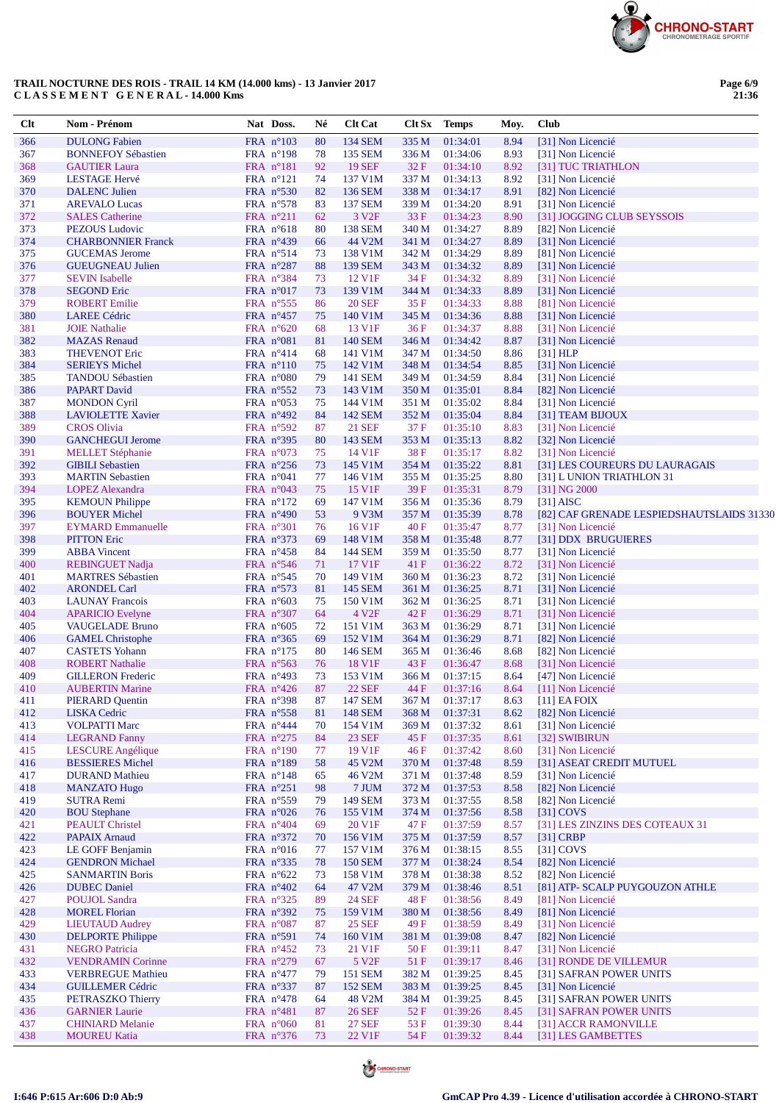

| Clt        | Nom - Prénom                                        | Nat Doss.                                | Né       | <b>Clt Cat</b>                 | <b>Clt Sx</b>  | <b>Temps</b>         | Moy.         | <b>Club</b>                                          |
|------------|-----------------------------------------------------|------------------------------------------|----------|--------------------------------|----------------|----------------------|--------------|------------------------------------------------------|
| 366        | <b>DULONG Fabien</b>                                | FRA n°103                                | 80       | <b>134 SEM</b>                 | 335 M          | 01:34:01             | 8.94         | [31] Non Licencié                                    |
| 367        | <b>BONNEFOY Sébastien</b>                           | FRA n°198                                | 78       | 135 SEM                        | 336 M          | 01:34:06             | 8.93         | [31] Non Licencié                                    |
| 368        | <b>GAUTIER Laura</b>                                | FRA $n^{\circ}181$                       | 92       | <b>19 SEF</b>                  | 32F            | 01:34:10             | 8.92         | [31] TUC TRIATHLON                                   |
| 369        | <b>LESTAGE Hervé</b>                                | $FRA$ $n^{\circ}121$                     | 74       | 137 V1M                        | 337 M          | 01:34:13             | 8.92         | [31] Non Licencié                                    |
| 370        | <b>DALENC</b> Julien                                | FRA $n^{\circ}530$                       | 82       | 136 SEM                        | 338 M          | 01:34:17             | 8.91         | [82] Non Licencié                                    |
| 371        | <b>AREVALO Lucas</b>                                | FRA $n^{\circ}578$                       | 83       | <b>137 SEM</b>                 | 339 M          | 01:34:20             | 8.91         | [31] Non Licencié                                    |
| 372        | <b>SALES</b> Catherine                              | FRA $n^{\circ}211$                       | 62       | 3 V <sub>2F</sub>              | 33 F           | 01:34:23             | 8.90         | [31] JOGGING CLUB SEYSSOIS                           |
| 373        | <b>PEZOUS Ludovic</b>                               | FRA $n^{\circ}618$                       | 80       | <b>138 SEM</b>                 | 340 M          | 01:34:27             | 8.89         | [82] Non Licencié                                    |
| 374<br>375 | <b>CHARBONNIER Franck</b><br><b>GUCEMAS</b> Jerome  | FRA $n^{\circ}439$<br>FRA $n^{\circ}514$ | 66<br>73 | 44 V2M<br>138 V1M              | 341 M<br>342 M | 01:34:27<br>01:34:29 | 8.89<br>8.89 | [31] Non Licencié<br>[81] Non Licencié               |
| 376        | <b>GUEUGNEAU Julien</b>                             | FRA $n^{\circ}287$                       | 88       | <b>139 SEM</b>                 | 343 M          | 01:34:32             | 8.89         | [31] Non Licencié                                    |
| 377        | <b>SEVIN</b> Isabelle                               | FRA n°384                                | 73       | 12 V1F                         | 34 F           | 01:34:32             | 8.89         | [31] Non Licencié                                    |
| 378        | <b>SEGOND Eric</b>                                  | FRA $n^{\circ}017$                       | 73       | 139 V1M                        | 344 M          | 01:34:33             | 8.89         | [31] Non Licencié                                    |
| 379        | <b>ROBERT Emilie</b>                                | FRA $n^{\circ}$ 555                      | 86       | <b>20 SEF</b>                  | 35F            | 01:34:33             | 8.88         | [81] Non Licencié                                    |
| 380        | <b>LAREE Cédric</b>                                 | FRA $n^{\circ}457$                       | 75       | 140 V1M                        | 345 M          | 01:34:36             | 8.88         | [31] Non Licencié                                    |
| 381        | <b>JOIE</b> Nathalie                                | FRA $n^{\circ}620$                       | 68       | 13 V1F                         | 36F            | 01:34:37             | 8.88         | [31] Non Licencié                                    |
| 382        | <b>MAZAS</b> Renaud                                 | FRA $n^{\circ}081$                       | 81       | <b>140 SEM</b>                 | 346 M          | 01:34:42             | 8.87         | [31] Non Licencié                                    |
| 383        | <b>THEVENOT Eric</b>                                | FRA $n^{\circ}414$                       | 68       | 141 V1M                        | 347 M          | 01:34:50             | 8.86         | [31] HLP                                             |
| 384        | <b>SERIEYS Michel</b>                               | FRA $n^{\circ}110$                       | 75       | 142 V1M                        | 348 M          | 01:34:54             | 8.85         | [31] Non Licencié                                    |
| 385<br>386 | <b>TANDOU Sébastien</b>                             | FRA n°080<br>FRA n°552                   | 79       | 141 SEM                        | 349 M          | 01:34:59             | 8.84<br>8.84 | [31] Non Licencié                                    |
| 387        | <b>PAPART David</b><br><b>MONDON Cyril</b>          | FRA $n^{\circ}053$                       | 73<br>75 | 143 V1M<br>144 V1M             | 350 M<br>351 M | 01:35:01<br>01:35:02 | 8.84         | [82] Non Licencié<br>[31] Non Licencié               |
| 388        | <b>LAVIOLETTE Xavier</b>                            | FRA $n^{\circ}492$                       | 84       | <b>142 SEM</b>                 | 352 M          | 01:35:04             | 8.84         | [31] TEAM BIJOUX                                     |
| 389        | <b>CROS</b> Olivia                                  | FRA n°592                                | 87       | <b>21 SEF</b>                  | 37 F           | 01:35:10             | 8.83         | [31] Non Licencié                                    |
| 390        | <b>GANCHEGUI Jerome</b>                             | FRA $n^{\circ}395$                       | 80       | 143 SEM                        | 353 M          | 01:35:13             | 8.82         | [32] Non Licencié                                    |
| 391        | <b>MELLET</b> Stéphanie                             | FRA $n^{\circ}073$                       | 75       | 14 V1F                         | 38F            | 01:35:17             | 8.82         | [31] Non Licencié                                    |
| 392        | <b>GIBILI</b> Sebastien                             | FRA $n^{\circ}256$                       | 73       | 145 V1M                        | 354 M          | 01:35:22             | 8.81         | [31] LES COUREURS DU LAURAGAIS                       |
| 393        | <b>MARTIN Sebastien</b>                             | FRA $n^{\circ}041$                       | 77       | 146 V1M                        | 355 M          | 01:35:25             | 8.80         | [31] L UNION TRIATHLON 31                            |
| 394        | <b>LOPEZ Alexandra</b>                              | FRA $n^{\circ}043$                       | 75       | 15 V1F                         | 39F            | 01:35:31             | 8.79         | [31] NG 2000                                         |
| 395        | <b>KEMOUN Philippe</b>                              | FRA $n^{\circ}172$                       | 69       | 147 V1M                        | 356 M          | 01:35:36             | 8.79         | $[31]$ AISC                                          |
| 396        | <b>BOUYER Michel</b>                                | FRA $n^{\circ}490$                       | 53       | 9 V3M                          | 357 M          | 01:35:39             | 8.78         | [82] CAF GRENADE LESPIEDSHAUTSLAIDS 31330            |
| 397        | <b>EYMARD Emmanuelle</b>                            | FRA $n^{\circ}301$                       | 76       | 16 V1F                         | 40F            | 01:35:47             | 8.77         | [31] Non Licencié                                    |
| 398<br>399 | <b>PITTON Eric</b><br><b>ABBA</b> Vincent           | FRA $n^{\circ}373$<br>FRA $n^{\circ}458$ | 69<br>84 | 148 V1M<br>144 SEM             | 358 M<br>359 M | 01:35:48<br>01:35:50 | 8.77<br>8.77 | [31] DDX BRUGUIERES<br>[31] Non Licencié             |
| 400        | <b>REBINGUET Nadja</b>                              | FRA $n^{\circ}$ 546                      | 71       | 17 V1F                         | 41 F           | 01:36:22             | 8.72         | [31] Non Licencié                                    |
| 401        | <b>MARTRES</b> Sébastien                            | FRA $n^{\circ}545$                       | 70       | 149 V1M                        | 360 M          | 01:36:23             | 8.72         | [31] Non Licencié                                    |
| 402        | <b>ARONDEL Carl</b>                                 | FRA n°573                                | 81       | <b>145 SEM</b>                 | 361 M          | 01:36:25             | 8.71         | [31] Non Licencié                                    |
| 403        | <b>LAUNAY Francois</b>                              | FRA $n^{\circ}603$                       | 75       | 150 V1M                        | 362 M          | 01:36:25             | 8.71         | [31] Non Licencié                                    |
| 404        | <b>APARICIO</b> Evelyne                             | FRA $n^{\circ}307$                       | 64       | 4 V <sub>2F</sub>              | 42 F           | 01:36:29             | 8.71         | [31] Non Licencié                                    |
| 405        | <b>VAUGELADE Bruno</b>                              | FRA $n^{\circ}605$                       | 72       | 151 V1M                        | 363 M          | 01:36:29             | 8.71         | [31] Non Licencié                                    |
| 406        | <b>GAMEL Christophe</b>                             | FRA $n^{\circ}365$                       | 69       | 152 V1M                        | 364 M          | 01:36:29             | 8.71         | [82] Non Licencié                                    |
| 407<br>408 | <b>CASTETS</b> Yohann<br><b>ROBERT Nathalie</b>     | FRA $n^{\circ}175$<br>FRA n°563          | 80<br>76 | 146 SEM<br>18 V1F              | 365 M<br>43F   | 01:36:46<br>01:36:47 | 8.68<br>8.68 | [82] Non Licencié<br>[31] Non Licencié               |
| 409        | <b>GILLERON</b> Frederic                            | FRA $n^{\circ}493$                       | 73       | 153 V1M                        | 366 M          | 01:37:15             | 8.64         | [47] Non Licencié                                    |
| 410        | <b>AUBERTIN Marine</b>                              | FRA $n^{\circ}426$                       | 87       | <b>22 SEF</b>                  | 44 F           | 01:37:16             | 8.64         | [11] Non Licencié                                    |
| 411        | <b>PIERARD Quentin</b>                              | FRA n°398                                | 87       | <b>147 SEM</b>                 |                | 367 M 01:37:17       |              | 8.63 [11] EA FOIX                                    |
| 412        | <b>LISKA</b> Cedric                                 | FRA $n^{\circ}$ 558                      | 81       | <b>148 SEM</b>                 | 368 M          | 01:37:31             | 8.62         | [82] Non Licencié                                    |
| 413        | <b>VOLPATTI Marc</b>                                | FRA $n^{\circ}444$                       | 70       | 154 V1M                        | 369 M          | 01:37:32             | 8.61         | [31] Non Licencié                                    |
| 414        | <b>LEGRAND</b> Fanny                                | FRA $n^{\circ}275$                       | 84       | <b>23 SEF</b>                  | 45 F           | 01:37:35             | 8.61         | [32] SWIBIRUN                                        |
| 415        | <b>LESCURE</b> Angélique<br><b>BESSIERES Michel</b> | FRA $n^{\circ}190$<br>FRA n°189          | 77       | 19 V1F                         | 46 F           | 01:37:42             | 8.60         | [31] Non Licencié                                    |
| 416<br>417 | <b>DURAND</b> Mathieu                               | FRA $n^{\circ}148$                       | 58<br>65 | 45 V2M<br>46 V2M               | 370 M<br>371 M | 01:37:48<br>01:37:48 | 8.59<br>8.59 | [31] ASEAT CREDIT MUTUEL<br>[31] Non Licencié        |
| 418        | <b>MANZATO Hugo</b>                                 | FRA n°251                                | 98       | 7 JUM                          | 372 M          | 01:37:53             | 8.58         | [82] Non Licencié                                    |
| 419        | <b>SUTRA Remi</b>                                   | FRA $n^{\circ}$ 559                      | 79       | 149 SEM                        | 373 M          | 01:37:55             | 8.58         | [82] Non Licencié                                    |
| 420        | <b>BOU</b> Stephane                                 | FRA $n^{\circ}026$                       | 76       | 155 V1M                        | 374 M          | 01:37:56             | 8.58         | $[31]$ COVS                                          |
| 421        | <b>PEAULT</b> Christel                              | FRA $n^{\circ}404$                       | 69       | 20 V1F                         | 47 F           | 01:37:59             | 8.57         | [31] LES ZINZINS DES COTEAUX 31                      |
| 422        | <b>PAPAIX Arnaud</b>                                | FRA $n^{\circ}372$                       | 70       | 156 V1M                        | 375 M          | 01:37:59             | 8.57         | $[31]$ CRBP                                          |
| 423        | LE GOFF Benjamin                                    | FRA $n^{\circ}016$                       | 77       | 157 V1M                        | 376 M          | 01:38:15             | 8.55         | $[31]$ COVS                                          |
| 424        | <b>GENDRON Michael</b>                              | FRA $n^{\circ}335$                       | 78       | <b>150 SEM</b>                 | 377 M          | 01:38:24             | 8.54         | [82] Non Licencié                                    |
| 425        | <b>SANMARTIN Boris</b>                              | FRA $n^{\circ}622$                       | 73       | 158 V1M                        | 378 M          | 01:38:38             | 8.52         | [82] Non Licencié                                    |
| 426        | <b>DUBEC</b> Daniel<br><b>POUJOL Sandra</b>         | FRA $n^{\circ}402$                       | 64       | 47 V2M<br><b>24 SEF</b>        | 379 M          | 01:38:46             | 8.51         | [81] ATP- SCALP PUYGOUZON ATHLE<br>[81] Non Licencié |
| 427<br>428 | <b>MOREL Florian</b>                                | FRA $n^{\circ}325$<br>FRA n°392          | 89<br>75 | 159 V1M                        | 48 F<br>380 M  | 01:38:56<br>01:38:56 | 8.49<br>8.49 | [81] Non Licencié                                    |
| 429        | <b>LIEUTAUD Audrey</b>                              | FRA $n^{\circ}087$                       | 87       | <b>25 SEF</b>                  | 49 F           | 01:38:59             | 8.49         | [31] Non Licencié                                    |
| 430        | <b>DELPORTE Philippe</b>                            | FRA $n^{\circ}591$                       | 74       | 160 V1M                        | 381 M          | 01:39:08             | 8.47         | [82] Non Licencié                                    |
| 431        | <b>NEGRO</b> Patricia                               | FRA $n^{\circ}452$                       | 73       | 21 V1F                         | 50 F           | 01:39:11             | 8.47         | [31] Non Licencié                                    |
| 432        | <b>VENDRAMIN Corinne</b>                            | FRA n°279                                | 67       | 5 V <sub>2F</sub>              | 51 F           | 01:39:17             | 8.46         | [31] RONDE DE VILLEMUR                               |
| 433        | <b>VERBREGUE Mathieu</b>                            | FRA $n^{\circ}477$                       | 79       | <b>151 SEM</b>                 | 382 M          | 01:39:25             | 8.45         | [31] SAFRAN POWER UNITS                              |
| 434        | <b>GUILLEMER Cédric</b>                             | FRA $n^{\circ}337$                       | 87       | <b>152 SEM</b>                 | 383 M          | 01:39:25             | 8.45         | [31] Non Licencié                                    |
| 435        | PETRASZKO Thierry<br><b>GARNIER Laurie</b>          | FRA n°478                                | 64       | 48 V2M                         | 384 M          | 01:39:25             | 8.45         | [31] SAFRAN POWER UNITS                              |
| 436<br>437 | <b>CHINIARD Melanie</b>                             | FRA $n^{\circ}481$<br>FRA n°060          | 87<br>81 | <b>26 SEF</b><br><b>27 SEF</b> | 52 F<br>53 F   | 01:39:26<br>01:39:30 | 8.45<br>8.44 | [31] SAFRAN POWER UNITS<br>[31] ACCR RAMONVILLE      |
| 438        | <b>MOUREU Katia</b>                                 | FRA n°376                                | 73       | 22 V1F                         | 54 F           | 01:39:32             | 8.44         | [31] LES GAMBETTES                                   |
|            |                                                     |                                          |          |                                |                |                      |              |                                                      |

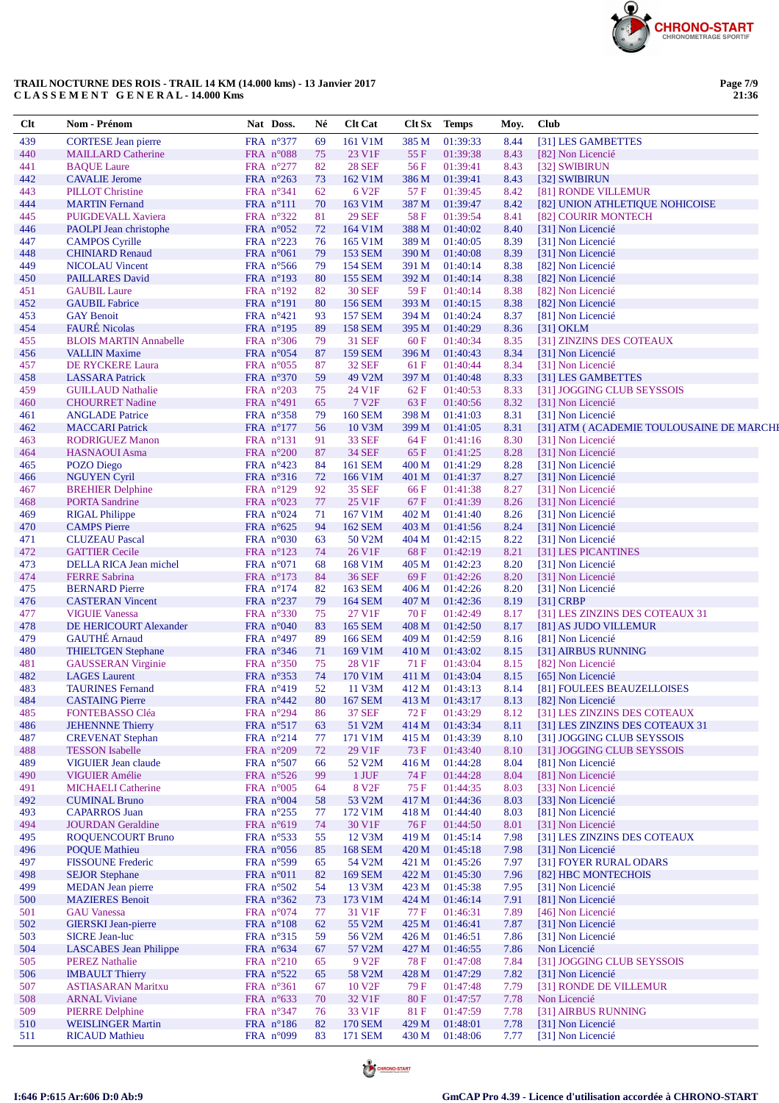

| $Cl$ t     | Nom - Prénom                                           | Nat Doss.                                | Né       | <b>Clt Cat</b>                  |                | Clt Sx Temps         | Moy.         | <b>Club</b>                                            |
|------------|--------------------------------------------------------|------------------------------------------|----------|---------------------------------|----------------|----------------------|--------------|--------------------------------------------------------|
| 439        | <b>CORTESE</b> Jean pierre                             | FRA n°377                                | 69       | 161 V1M                         | 385 M          | 01:39:33             | 8.44         | [31] LES GAMBETTES                                     |
| 440        | <b>MAILLARD Catherine</b>                              | FRA n°088                                | 75       | 23 V1F                          | 55F            | 01:39:38             | 8.43         | [82] Non Licencié                                      |
| 441        | <b>BAQUE Laure</b>                                     | FRA n°277                                | 82       | <b>28 SEF</b>                   | 56 F           | 01:39:41             | 8.43         | [32] SWIBIRUN                                          |
| 442        | <b>CAVALIE Jerome</b>                                  | FRA n°263                                | 73       | 162 V1M                         | 386 M          | 01:39:41             | 8.43         | [32] SWIBIRUN                                          |
| 443        | <b>PILLOT</b> Christine                                | FRA n°341                                | 62       | 6 V <sub>2F</sub>               | 57 F           | 01:39:45             | 8.42         | [81] RONDE VILLEMUR                                    |
| 444<br>445 | <b>MARTIN</b> Fernand<br>PUIGDEVALL Xaviera            | FRA $n^{\circ}111$<br>FRA $n^{\circ}322$ | 70<br>81 | 163 V1M<br><b>29 SEF</b>        | 387 M<br>58 F  | 01:39:47<br>01:39:54 | 8.42<br>8.41 | [82] UNION ATHLETIQUE NOHICOISE<br>[82] COURIR MONTECH |
| 446        | PAOLPI Jean christophe                                 | FRA $n^{\circ}052$                       | 72       | 164 V1M                         | 388 M          | 01:40:02             | 8.40         | [31] Non Licencié                                      |
| 447        | <b>CAMPOS Cyrille</b>                                  | FRA n°223                                | 76       | 165 V1M                         | 389 M          | 01:40:05             | 8.39         | [31] Non Licencié                                      |
| 448        | <b>CHINIARD Renaud</b>                                 | FRA $n^{\circ}061$                       | 79       | <b>153 SEM</b>                  | 390 M          | 01:40:08             | 8.39         | [31] Non Licencié                                      |
| 449        | <b>NICOLAU</b> Vincent                                 | FRA $n^{\circ}$ 566                      | 79       | <b>154 SEM</b>                  | 391 M          | 01:40:14             | 8.38         | [82] Non Licencié                                      |
| 450        | <b>PAILLARES David</b>                                 | FRA n°193                                | 80       | <b>155 SEM</b>                  | 392 M          | 01:40:14             | 8.38         | [82] Non Licencié                                      |
| 451        | <b>GAUBIL Laure</b>                                    | FRA n°192                                | 82       | <b>30 SEF</b>                   | 59F            | 01:40:14             | 8.38         | [82] Non Licencié                                      |
| 452        | <b>GAUBIL Fabrice</b>                                  | FRA $n^{\circ}191$                       | 80       | 156 SEM                         | 393 M          | 01:40:15             | 8.38         | [82] Non Licencié                                      |
| 453        | <b>GAY Benoit</b>                                      | FRA $n^{\circ}421$                       | 93       | <b>157 SEM</b>                  | 394 M          | 01:40:24             | 8.37         | [81] Non Licencié                                      |
| 454        | <b>FAURÉ Nicolas</b>                                   | FRA $n^{\circ}195$                       | 89       | <b>158 SEM</b>                  | 395 M          | 01:40:29             | 8.36         | $[31]$ OKLM                                            |
| 455<br>456 | <b>BLOIS MARTIN Annabelle</b><br><b>VALLIN Maxime</b>  | FRA $n^{\circ}306$                       | 79<br>87 | <b>31 SEF</b><br><b>159 SEM</b> | 60 F           | 01:40:34             | 8.35<br>8.34 | [31] ZINZINS DES COTEAUX                               |
| 457        | DE RYCKERE Laura                                       | FRA $n^{\circ}054$<br>FRA $n^{\circ}055$ | 87       | <b>32 SEF</b>                   | 396 M<br>61 F  | 01:40:43<br>01:40:44 | 8.34         | [31] Non Licencié<br>[31] Non Licencié                 |
| 458        | <b>LASSARA</b> Patrick                                 | FRA $n^{\circ}370$                       | 59       | 49 V2M                          | 397 M          | 01:40:48             | 8.33         | [31] LES GAMBETTES                                     |
| 459        | <b>GUILLAUD Nathalie</b>                               | FRA $n^{\circ}203$                       | 75       | 24 V1F                          | 62 F           | 01:40:53             | 8.33         | [31] JOGGING CLUB SEYSSOIS                             |
| 460        | <b>CHOURRET Nadine</b>                                 | FRA $n^{\circ}491$                       | 65       | 7 V <sub>2F</sub>               | 63F            | 01:40:56             | 8.32         | [31] Non Licencié                                      |
| 461        | <b>ANGLADE Patrice</b>                                 | FRA $n^{\circ}358$                       | 79       | <b>160 SEM</b>                  | 398 M          | 01:41:03             | 8.31         | [31] Non Licencié                                      |
| 462        | <b>MACCARI</b> Patrick                                 | FRA $n^{\circ}177$                       | 56       | 10 V3M                          | 399 M          | 01:41:05             | 8.31         | [31] ATM (ACADEMIE TOULOUSAINE DE MARCHI               |
| 463        | <b>RODRIGUEZ Manon</b>                                 | FRA nº131                                | 91       | <b>33 SEF</b>                   | 64 F           | 01:41:16             | 8.30         | [31] Non Licencié                                      |
| 464        | <b>HASNAOUI</b> Asma                                   | FRA $n^{\circ}200$                       | 87       | <b>34 SEF</b>                   | 65 F           | 01:41:25             | 8.28         | [31] Non Licencié                                      |
| 465        | POZO Diego                                             | FRA $n^{\circ}423$                       | 84       | <b>161 SEM</b>                  | 400 M          | 01:41:29             | 8.28         | [31] Non Licencié                                      |
| 466        | <b>NGUYEN Cyril</b>                                    | FRA n°316                                | 72       | 166 V1M                         | 401 M          | 01:41:37             | 8.27         | [31] Non Licencié                                      |
| 467        | <b>BREHIER Delphine</b>                                | FRA $n^{\circ}129$                       | 92       | 35 SEF                          | 66 F           | 01:41:38             | 8.27         | [31] Non Licencié                                      |
| 468<br>469 | <b>PORTA Sandrine</b><br><b>RIGAL Philippe</b>         | FRA $n^{\circ}023$<br>FRA $n^{\circ}024$ | 77<br>71 | 25 V1F<br>167 V1M               | 67F<br>402 M   | 01:41:39<br>01:41:40 | 8.26<br>8.26 | [31] Non Licencié<br>[31] Non Licencié                 |
| 470        | <b>CAMPS</b> Pierre                                    | FRA $n^{\circ}625$                       | 94       | 162 SEM                         | 403 M          | 01:41:56             | 8.24         | [31] Non Licencié                                      |
| 471        | <b>CLUZEAU Pascal</b>                                  | FRA $n^{\circ}030$                       | 63       | 50 V2M                          | 404 M          | 01:42:15             | 8.22         | [31] Non Licencié                                      |
| 472        | <b>GATTIER Cecile</b>                                  | FRA $n^{\circ}123$                       | 74       | 26 V1F                          | 68F            | 01:42:19             | 8.21         | [31] LES PICANTINES                                    |
| 473        | DELLA RICA Jean michel                                 | FRA $n^{\circ}071$                       | 68       | 168 V1M                         | 405 M          | 01:42:23             | 8.20         | [31] Non Licencié                                      |
| 474        | <b>FERRE Sabrina</b>                                   | FRA $n^{\circ}173$                       | 84       | <b>36 SEF</b>                   | 69 F           | 01:42:26             | 8.20         | [31] Non Licencié                                      |
| 475        | <b>BERNARD</b> Pierre                                  | FRA $n^{\circ}174$                       | 82       | <b>163 SEM</b>                  | 406 M          | 01:42:26             | 8.20         | [31] Non Licencié                                      |
| 476        | <b>CASTERAN Vincent</b>                                | FRA $n^{\circ}237$                       | 79       | <b>164 SEM</b>                  | 407 M          | 01:42:36             | 8.19         | $[31]$ CRBP                                            |
| 477        | <b>VIGUIE Vanessa</b>                                  | FRA $n^{\circ}330$                       | 75       | 27 V1F                          | 70 F           | 01:42:49             | 8.17         | [31] LES ZINZINS DES COTEAUX 31                        |
| 478        | DE HERICOURT Alexander                                 | FRA $n^{\circ}040$                       | 83       | <b>165 SEM</b>                  | 408 M          | 01:42:50             | 8.17         | [81] AS JUDO VILLEMUR                                  |
| 479<br>480 | <b>GAUTHÉ</b> Arnaud<br><b>THIELTGEN Stephane</b>      | FRA $n^{\circ}497$<br>FRA $n^{\circ}346$ | 89<br>71 | <b>166 SEM</b><br>169 V1M       | 409 M<br>410 M | 01:42:59<br>01:43:02 | 8.16<br>8.15 | [81] Non Licencié<br>[31] AIRBUS RUNNING               |
| 481        | <b>GAUSSERAN Virginie</b>                              | FRA n°350                                | 75       | 28 V1F                          | 71 F           | 01:43:04             | 8.15         | [82] Non Licencié                                      |
| 482        | <b>LAGES</b> Laurent                                   | FRA $n^{\circ}353$                       | 74       | 170 V1M                         | 411 M          | 01:43:04             | 8.15         | [65] Non Licencié                                      |
| 483        | <b>TAURINES Fernand</b>                                | FRA $n^{\circ}419$                       | 52       | 11 V3M                          | 412 M          | 01:43:13             | 8.14         | [81] FOULEES BEAUZELLOISES                             |
| 484        | <b>CASTAING Pierre</b>                                 | FRA $n^{\circ}442$                       | 80       | <b>167 SEM</b>                  | 413 M          | 01:43:17             | 8.13         | [82] Non Licencié                                      |
| 485        | FONTEBASSO Cléa                                        | FRA n°294                                | 86       | <b>37 SEF</b>                   | 72 F           | 01:43:29             | 8.12         | [31] LES ZINZINS DES COTEAUX                           |
| 486        | <b>JEHENNNE Thierry</b>                                | FRA n°517                                | 63       | 51 V2M                          | 414 M          | 01:43:34             | 8.11         | [31] LES ZINZINS DES COTEAUX 31                        |
| 487        | <b>CREVENAT Stephan</b>                                | FRA n°214                                | 77       | 171 V1M                         | 415 M          | 01:43:39             | 8.10         | [31] JOGGING CLUB SEYSSOIS                             |
| 488        | <b>TESSON</b> Isabelle                                 | FRA $n^{\circ}209$                       | 72       | 29 V1F                          | 73 F           | 01:43:40             | 8.10         | [31] JOGGING CLUB SEYSSOIS                             |
| 489        | <b>VIGUIER Jean claude</b>                             | FRA $n^{\circ}507$                       | 66       | 52 V2M                          | 416 M          | 01:44:28             | 8.04         | [81] Non Licencié                                      |
| 490        | <b>VIGUIER Amélie</b>                                  | FRA $n^{\circ}526$                       | 99       | $1$ JUF $\,$                    | 74 F           | 01:44:28             | 8.04         | [81] Non Licencié                                      |
| 491<br>492 | MICHAELI Catherine<br><b>CUMINAL Bruno</b>             | FRA $n^{\circ}005$<br>FRA $n^{\circ}004$ | 64<br>58 | 8 V <sub>2F</sub><br>53 V2M     | 75 F<br>417 M  | 01:44:35<br>01:44:36 | 8.03<br>8.03 | [33] Non Licencié<br>[33] Non Licencié                 |
| 493        | <b>CAPARROS</b> Juan                                   | FRA $n^{\circ}255$                       | 77       | 172 V1M                         | 418 M          | 01:44:40             | 8.03         | [81] Non Licencié                                      |
| 494        | <b>JOURDAN</b> Geraldine                               | FRA n°619                                | 74       | 30 V1F                          | 76 F           | 01:44:50             | 8.01         | [31] Non Licencié                                      |
| 495        | <b>ROQUENCOURT Bruno</b>                               | FRA $n^{\circ}$ 533                      | 55       | 12 V3M                          | 419 M          | 01:45:14             | 7.98         | [31] LES ZINZINS DES COTEAUX                           |
| 496        | <b>POQUE Mathieu</b>                                   | FRA $n^{\circ}056$                       | 85       | <b>168 SEM</b>                  | 420 M          | 01:45:18             | 7.98         | [31] Non Licencié                                      |
| 497        | <b>FISSOUNE Frederic</b>                               | FRA $n^{\circ}599$                       | 65       | 54 V2M                          | 421 M          | 01:45:26             | 7.97         | [31] FOYER RURAL ODARS                                 |
| 498        | <b>SEJOR Stephane</b>                                  | FRA $n^{\circ}011$                       | 82       | <b>169 SEM</b>                  | 422 M          | 01:45:30             | 7.96         | [82] HBC MONTECHOIS                                    |
| 499        | <b>MEDAN</b> Jean pierre                               | FRA $n^{\circ}502$                       | 54       | 13 V3M                          | 423 M          | 01:45:38             | 7.95         | [31] Non Licencié                                      |
| 500        | <b>MAZIERES Benoit</b>                                 | FRA $n^{\circ}362$                       | 73       | 173 V1M                         | 424 M          | 01:46:14             | 7.91         | [81] Non Licencié                                      |
| 501        | <b>GAU</b> Vanessa                                     | FRA $n^{\circ}074$                       | 77       | 31 V1F                          | 77 F           | 01:46:31             | 7.89         | [46] Non Licencié                                      |
| 502        | <b>GIERSKI</b> Jean-pierre                             | FRA $n^{\circ}108$                       | 62       | 55 V2M                          | 425 M          | 01:46:41             | 7.87         | [31] Non Licencié                                      |
| 503        | <b>SICRE Jean-luc</b><br><b>LASCABES</b> Jean Philippe | FRA $n^{\circ}315$                       | 59       | 56 V2M<br>57 V2M                | 426 M          | 01:46:51             | 7.86         | [31] Non Licencié<br>Non Licencié                      |
| 504<br>505 | <b>PEREZ Nathalie</b>                                  | FRA $n^{\circ}634$<br>FRA $n^{\circ}210$ | 67<br>65 | 9 V <sub>2F</sub>               | 427 M<br>78 F  | 01:46:55<br>01:47:08 | 7.86<br>7.84 | [31] JOGGING CLUB SEYSSOIS                             |
| 506        | <b>IMBAULT</b> Thierry                                 | FRA $n^{\circ}522$                       | 65       | 58 V2M                          | 428 M          | 01:47:29             | 7.82         | [31] Non Licencié                                      |
| 507        | <b>ASTIASARAN Maritxu</b>                              | FRA $n^{\circ}361$                       | 67       | 10 V <sub>2F</sub>              | 79 F           | 01:47:48             | 7.79         | [31] RONDE DE VILLEMUR                                 |
| 508        | <b>ARNAL Viviane</b>                                   | FRA $n^{\circ}633$                       | 70       | 32 V1F                          | 80F            | 01:47:57             | 7.78         | Non Licencié                                           |
| 509        | <b>PIERRE Delphine</b>                                 | FRA n°347                                | 76       | 33 V1F                          | 81 F           | 01:47:59             | 7.78         | [31] AIRBUS RUNNING                                    |
| 510        | <b>WEISLINGER Martin</b>                               | FRA $n^{\circ}186$                       | 82       | <b>170 SEM</b>                  | 429 M          | 01:48:01             | 7.78         | [31] Non Licencié                                      |
| 511        | <b>RICAUD Mathieu</b>                                  | FRA $n^{\circ}099$                       | 83       | 171 SEM                         | 430 M          | 01:48:06             | 7.77         | [31] Non Licencié                                      |



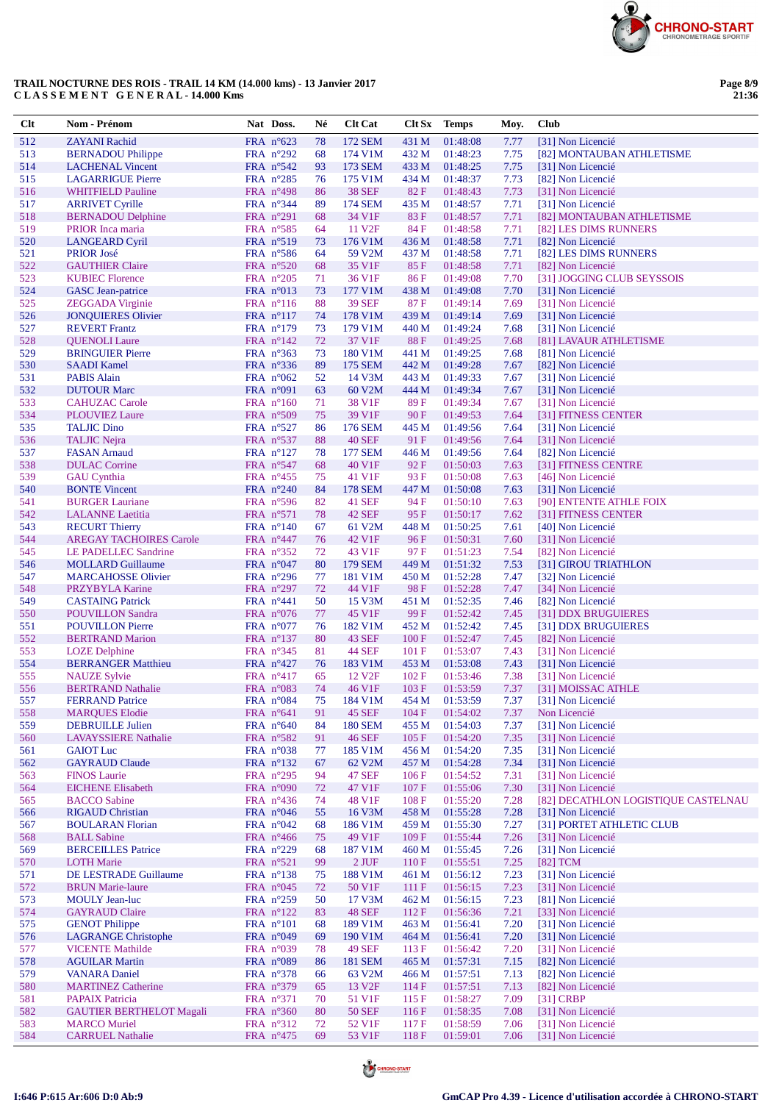

| Clt        | Nom - Prénom                                      | Nat Doss.                                | Né       | <b>Clt Cat</b>               | Clt Sx         | <b>Temps</b>         | Moy.         | Club                                               |
|------------|---------------------------------------------------|------------------------------------------|----------|------------------------------|----------------|----------------------|--------------|----------------------------------------------------|
| 512        | <b>ZAYANI</b> Rachid                              | FRA $n^{\circ}623$                       | 78       | 172 SEM                      | 431 M          | 01:48:08             | 7.77         | [31] Non Licencié                                  |
| 513        | <b>BERNADOU Philippe</b>                          | FRA $n^{\circ}292$                       | 68       | 174 V1M                      | 432 M          | 01:48:23             | 7.75         | [82] MONTAUBAN ATHLETISME                          |
| 514        | <b>LACHENAL Vincent</b>                           | FRA n°542                                | 93       | 173 SEM                      | 433 M          | 01:48:25             | 7.75         | [31] Non Licencié                                  |
| 515        | <b>LAGARRIGUE Pierre</b>                          | FRA $n^{\circ}285$                       | 76       | 175 V1M                      | 434 M          | 01:48:37             | 7.73         | [82] Non Licencié                                  |
| 516        | <b>WHITFIELD Pauline</b>                          | FRA n°498                                | 86       | <b>38 SEF</b>                | 82F            | 01:48:43             | 7.73         | [31] Non Licencié                                  |
| 517        | <b>ARRIVET Cyrille</b>                            | FRA $n^{\circ}344$                       | 89       | <b>174 SEM</b>               | 435 M          | 01:48:57             | 7.71         | [31] Non Licencié                                  |
| 518<br>519 | <b>BERNADOU Delphine</b><br>PRIOR Inca maria      | FRA $n^{\circ}291$<br>FRA $n^{\circ}585$ | 68<br>64 | 34 V1F<br>11 V <sub>2F</sub> | 83 F<br>84 F   | 01:48:57<br>01:48:58 | 7.71<br>7.71 | [82] MONTAUBAN ATHLETISME<br>[82] LES DIMS RUNNERS |
| 520        | <b>LANGEARD Cyril</b>                             | FRA $n^{\circ}519$                       | 73       | 176 V1M                      | 436 M          | 01:48:58             | 7.71         | [82] Non Licencié                                  |
| 521        | <b>PRIOR José</b>                                 | FRA $n^{\circ}586$                       | 64       | 59 V2M                       | 437 M          | 01:48:58             | 7.71         | [82] LES DIMS RUNNERS                              |
| 522        | <b>GAUTHIER Claire</b>                            | FRA n°520                                | 68       | 35 V1F                       | 85 F           | 01:48:58             | 7.71         | [82] Non Licencié                                  |
| 523        | <b>KUBIEC Florence</b>                            | FRA $n^{\circ}205$                       | 71       | 36 V1F                       | 86F            | 01:49:08             | 7.70         | [31] JOGGING CLUB SEYSSOIS                         |
| 524        | <b>GASC</b> Jean-patrice                          | FRA $n^{\circ}013$                       | 73       | 177 V1M                      | 438 M          | 01:49:08             | 7.70         | [31] Non Licencié                                  |
| 525        | <b>ZEGGADA</b> Virginie                           | FRA $n^{\circ}116$                       | 88       | <b>39 SEF</b>                | 87 F           | 01:49:14             | 7.69         | [31] Non Licencié                                  |
| 526        | <b>JONQUIERES Olivier</b>                         | FRA $n^{\circ}117$                       | 74       | 178 V1M                      | 439 M          | 01:49:14             | 7.69         | [31] Non Licencié                                  |
| 527        | <b>REVERT</b> Frantz                              | FRA $n^{\circ}179$                       | 73       | 179 V1M                      | 440 M          | 01:49:24             | 7.68         | [31] Non Licencié                                  |
| 528<br>529 | <b>QUENOLI</b> Laure                              | FRA $n^{\circ}142$                       | 72       | 37 V1F<br>180 V1M            | 88F            | 01:49:25             | 7.68         | [81] LAVAUR ATHLETISME                             |
| 530        | <b>BRINGUIER Pierre</b><br><b>SAADI</b> Kamel     | FRA $n^{\circ}363$<br>FRA $n^{\circ}336$ | 73<br>89 | 175 SEM                      | 441 M<br>442 M | 01:49:25<br>01:49:28 | 7.68<br>7.67 | [81] Non Licencié<br>[82] Non Licencié             |
| 531        | <b>PABIS Alain</b>                                | FRA $n^{\circ}062$                       | 52       | 14 V3M                       | 443 M          | 01:49:33             | 7.67         | [31] Non Licencié                                  |
| 532        | <b>DUTOUR Marc</b>                                | FRA $n°091$                              | 63       | 60 V2M                       | 444 M          | 01:49:34             | 7.67         | [31] Non Licencié                                  |
| 533        | <b>CAHUZAC Carole</b>                             | FRA $n^{\circ}160$                       | 71       | 38 V1F                       | 89F            | 01:49:34             | 7.67         | [31] Non Licencié                                  |
| 534        | <b>PLOUVIEZ Laure</b>                             | FRA n°509                                | 75       | 39 V1F                       | 90F            | 01:49:53             | 7.64         | [31] FITNESS CENTER                                |
| 535        | <b>TALJIC Dino</b>                                | FRA $n^{\circ}527$                       | 86       | 176 SEM                      | 445 M          | 01:49:56             | 7.64         | [31] Non Licencié                                  |
| 536        | <b>TALJIC Nejra</b>                               | FRA $n^{\circ}537$                       | 88       | <b>40 SEF</b>                | 91F            | 01:49:56             | 7.64         | [31] Non Licencié                                  |
| 537        | <b>FASAN</b> Arnaud                               | FRA $n^{\circ}127$                       | 78       | <b>177 SEM</b>               | 446 M          | 01:49:56             | 7.64         | [82] Non Licencié                                  |
| 538        | <b>DULAC</b> Corrine                              | FRA $n^{\circ}547$                       | 68       | 40 V1F                       | 92F            | 01:50:03             | 7.63         | [31] FITNESS CENTRE                                |
| 539        | <b>GAU</b> Cynthia                                | FRA $n^{\circ}455$                       | 75       | 41 V1F                       | 93 F           | 01:50:08             | 7.63         | [46] Non Licencié                                  |
| 540<br>541 | <b>BONTE Vincent</b><br><b>BURGER Lauriane</b>    | FRA $n^{\circ}240$<br>FRA $n^{\circ}596$ | 84<br>82 | <b>178 SEM</b><br>41 SEF     | 447 M<br>94 F  | 01:50:08<br>01:50:10 | 7.63<br>7.63 | [31] Non Licencié<br>[90] ENTENTE ATHLE FOIX       |
| 542        | <b>LALANNE</b> Laetitia                           | FRA $n^{\circ}571$                       | 78       | <b>42 SEF</b>                | 95F            | 01:50:17             | 7.62         | [31] FITNESS CENTER                                |
| 543        | <b>RECURT Thierry</b>                             | FRA $n^{\circ}140$                       | 67       | 61 V2M                       | 448 M          | 01:50:25             | 7.61         | [40] Non Licencié                                  |
| 544        | <b>AREGAY TACHOIRES Carole</b>                    | FRA $n^{\circ}447$                       | 76       | 42 V1F                       | 96 F           | 01:50:31             | 7.60         | [31] Non Licencié                                  |
| 545        | <b>LE PADELLEC Sandrine</b>                       | FRA n°352                                | 72       | 43 V1F                       | 97 F           | 01:51:23             | 7.54         | [82] Non Licencié                                  |
| 546        | <b>MOLLARD Guillaume</b>                          | FRA $n^{\circ}047$                       | 80       | <b>179 SEM</b>               | 449 M          | 01:51:32             | 7.53         | [31] GIROU TRIATHLON                               |
| 547        | <b>MARCAHOSSE Olivier</b>                         | FRA $n^{\circ}296$                       | 77       | 181 V1M                      | 450 M          | 01:52:28             | 7.47         | [32] Non Licencié                                  |
| 548        | PRZYBYLA Karine                                   | FRA $n^{\circ}297$                       | 72       | 44 V1F                       | 98F            | 01:52:28             | 7.47         | [34] Non Licencié                                  |
| 549        | <b>CASTAING Patrick</b>                           | FRA $n^{\circ}441$                       | 50       | 15 V3M                       | 451 M          | 01:52:35             | 7.46         | [82] Non Licencié                                  |
| 550        | <b>POUVILLON Sandra</b>                           | FRA $n^{\circ}076$                       | 77       | 45 V1F                       | 99F            | 01:52:42             | 7.45         | [31] DDX BRUGUIERES                                |
| 551<br>552 | <b>POUVILLON Pierre</b><br><b>BERTRAND Marion</b> | FRA $n^{\circ}077$<br>FRA nº137          | 76<br>80 | 182 V1M<br><b>43 SEF</b>     | 452 M<br>100F  | 01:52:42<br>01:52:47 | 7.45<br>7.45 | [31] DDX BRUGUIERES<br>[82] Non Licencié           |
| 553        | <b>LOZE</b> Delphine                              | FRA $n^{\circ}345$                       | 81       | <b>44 SEF</b>                | 101 F          | 01:53:07             | 7.43         | [31] Non Licencié                                  |
| 554        | <b>BERRANGER Matthieu</b>                         | FRA $n^{\circ}427$                       | 76       | 183 V1M                      | 453 M          | 01:53:08             | 7.43         | [31] Non Licencié                                  |
| 555        | <b>NAUZE Sylvie</b>                               | FRA $n^{\circ}417$                       | 65       | 12 V <sub>2F</sub>           | 102 F          | 01:53:46             | 7.38         | [31] Non Licencié                                  |
| 556        | <b>BERTRAND Nathalie</b>                          | FRA $n^{\circ}083$                       | 74       | 46 V1F                       | 103 F          | 01:53:59             | 7.37         | [31] MOISSAC ATHLE                                 |
| 557        | <b>FERRAND Patrice</b>                            | FRA n°084                                | 75       | 184 V1M                      |                | 454 M 01:53:59       | 7.37         | [31] Non Licencié                                  |
| 558        | <b>MARQUES Elodie</b>                             | FRA $n^{\circ}641$                       | 91       | 45 SEF                       | 104 F          | 01:54:02             | 7.37         | Non Licencié                                       |
| 559        | <b>DEBRUILLE Julien</b>                           | FRA $n^{\circ}640$                       | 84       | <b>180 SEM</b>               | 455 M          | 01:54:03             | 7.37         | [31] Non Licencié                                  |
| 560        | <b>LAVAYSSIERE Nathalie</b>                       | FRA $n^{\circ}582$                       | 91       | <b>46 SEF</b>                | 105 F          | 01:54:20             | 7.35         | [31] Non Licencié                                  |
| 561<br>562 | <b>GAIOT</b> Luc<br><b>GAYRAUD Claude</b>         | FRA $n^{\circ}038$<br>FRA $n^{\circ}132$ | 77<br>67 | 185 V1M<br>62 V2M            | 456 M<br>457 M | 01:54:20<br>01:54:28 | 7.35<br>7.34 | [31] Non Licencié<br>[31] Non Licencié             |
| 563        | <b>FINOS Laurie</b>                               | FRA $n^{\circ}295$                       | 94       | 47 SEF                       | 106 F          | 01:54:52             | 7.31         | [31] Non Licencié                                  |
| 564        | <b>EICHENE Elisabeth</b>                          | FRA n°090                                | 72       | 47 V1F                       | 107 F          | 01:55:06             | 7.30         | [31] Non Licencié                                  |
| 565        | <b>BACCO</b> Sabine                               | FRA $n^{\circ}436$                       | 74       | 48 V1F                       | 108 F          | 01:55:20             | 7.28         | [82] DECATHLON LOGISTIQUE CASTELNAU                |
| 566        | <b>RIGAUD Christian</b>                           | FRA $n^{\circ}046$                       | 55       | 16 V3M                       | 458 M          | 01:55:28             | 7.28         | [31] Non Licencié                                  |
| 567        | <b>BOULARAN Florian</b>                           | FRA $n^{\circ}042$                       | 68       | 186 V1M                      | 459 M          | 01:55:30             | 7.27         | [31] PORTET ATHLETIC CLUB                          |
| 568        | <b>BALL Sabine</b>                                | FRA $n^{\circ}466$                       | 75       | 49 V1F                       | 109F           | 01:55:44             | 7.26         | [31] Non Licencié                                  |
| 569        | <b>BERCEILLES Patrice</b>                         | FRA n°229                                | 68       | 187 V1M                      | 460 M          | 01:55:45             | 7.26         | [31] Non Licencié                                  |
| 570        | <b>LOTH Marie</b>                                 | FRA $n^{\circ}521$                       | 99       | $2$ JUF                      | 110F           | 01:55:51             | 7.25         | [82] TCM                                           |
| 571        | DE LESTRADE Guillaume                             | FRA $n^{\circ}138$                       | 75       | 188 V1M                      | 461 M          | 01:56:12             | 7.23         | [31] Non Licencié                                  |
| 572        | <b>BRUN Marie-laure</b>                           | FRA $n^{\circ}045$                       | 72       | 50 V1F                       | 111F           | 01:56:15             | 7.23         | [31] Non Licencié<br>[81] Non Licencié             |
| 573<br>574 | <b>MOULY Jean-luc</b><br><b>GAYRAUD Claire</b>    | FRA $n^{\circ}259$<br>FRA $n^{\circ}122$ | 50<br>83 | 17 V3M<br><b>48 SEF</b>      | 462 M<br>112F  | 01:56:15<br>01:56:36 | 7.23<br>7.21 | [33] Non Licencié                                  |
| 575        | <b>GENOT Philippe</b>                             | FRA n°101                                | 68       | 189 V1M                      | 463 M          | 01:56:41             | 7.20         | [31] Non Licencié                                  |
| 576        | <b>LAGRANGE Christophe</b>                        | FRA $n^{\circ}049$                       | 69       | 190 V1M                      | 464 M          | 01:56:41             | 7.20         | [31] Non Licencié                                  |
| 577        | <b>VICENTE Mathilde</b>                           | FRA $n^{\circ}039$                       | 78       | <b>49 SEF</b>                | 113F           | 01:56:42             | 7.20         | [31] Non Licencié                                  |
| 578        | <b>AGUILAR Martin</b>                             | FRA n°089                                | 86       | <b>181 SEM</b>               | 465 M          | 01:57:31             | 7.15         | [82] Non Licencié                                  |
| 579        | <b>VANARA Daniel</b>                              | FRA $n^{\circ}378$                       | 66       | 63 V2M                       | 466 M          | 01:57:51             | 7.13         | [82] Non Licencié                                  |
| 580        | <b>MARTINEZ Catherine</b>                         | FRA $n^{\circ}379$                       | 65       | 13 V <sub>2F</sub>           | 114F           | 01:57:51             | 7.13         | [82] Non Licencié                                  |
| 581        | <b>PAPAIX Patricia</b>                            | FRA $n^{\circ}371$                       | 70       | 51 V1F                       | 115F           | 01:58:27             | 7.09         | $[31]$ CRBP                                        |
| 582        | <b>GAUTIER BERTHELOT Magali</b>                   | FRA n°360                                | 80       | <b>50 SEF</b>                | 116F           | 01:58:35             | 7.08         | [31] Non Licencié                                  |
| 583        | <b>MARCO</b> Muriel                               | FRA $n^{\circ}312$                       | 72       | 52 V1F                       | 117F           | 01:58:59             | 7.06         | [31] Non Licencié                                  |
| 584        | <b>CARRUEL Nathalie</b>                           | FRA $n^{\circ}475$                       | 69       | 53 V1F                       | 118F           | 01:59:01             | 7.06         | [31] Non Licencié                                  |